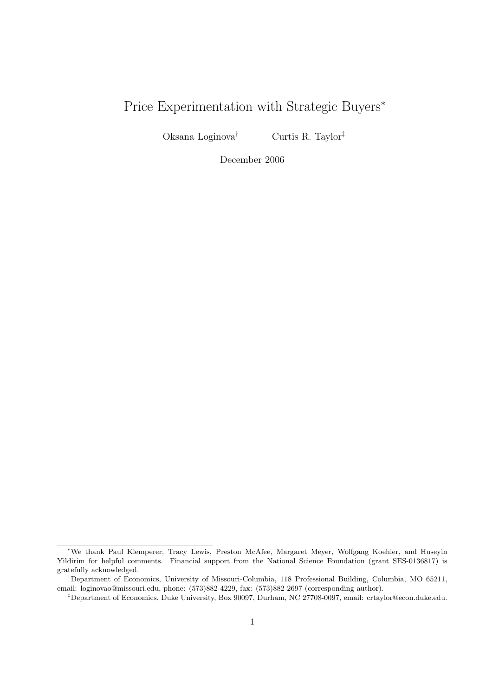# Price Experimentation with Strategic Buyers<sup>∗</sup>

Oksana Loginova† Curtis R. Taylor‡

December 2006

<sup>∗</sup>We thank Paul Klemperer, Tracy Lewis, Preston McAfee, Margaret Meyer, Wolfgang Koehler, and Huseyin Yildirim for helpful comments. Financial support from the National Science Foundation (grant SES-0136817) is gratefully acknowledged.

<sup>†</sup>Department of Economics, University of Missouri-Columbia, 118 Professional Building, Columbia, MO 65211, email: loginovao@missouri.edu, phone: (573)882-4229, fax: (573)882-2697 (corresponding author).

<sup>‡</sup>Department of Economics, Duke University, Box 90097, Durham, NC 27708-0097, email: crtaylor@econ.duke.edu.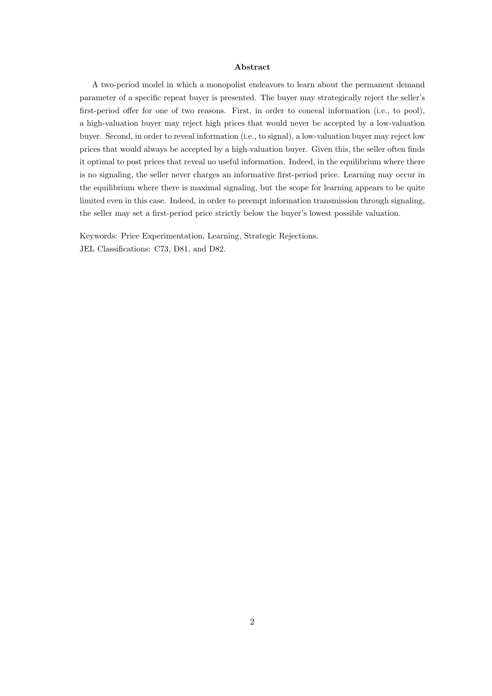#### Abstract

A two-period model in which a monopolist endeavors to learn about the permanent demand parameter of a specific repeat buyer is presented. The buyer may strategically reject the seller's first-period offer for one of two reasons. First, in order to conceal information (i.e., to pool), a high-valuation buyer may reject high prices that would never be accepted by a low-valuation buyer. Second, in order to reveal information (i.e., to signal), a low-valuation buyer may reject low prices that would always be accepted by a high-valuation buyer. Given this, the seller often finds it optimal to post prices that reveal no useful information. Indeed, in the equilibrium where there is no signaling, the seller never charges an informative first-period price. Learning may occur in the equilibrium where there is maximal signaling, but the scope for learning appears to be quite limited even in this case. Indeed, in order to preempt information transmission through signaling, the seller may set a first-period price strictly below the buyer's lowest possible valuation.

Keywords: Price Experimentation, Learning, Strategic Rejections. JEL Classifications: C73, D81, and D82.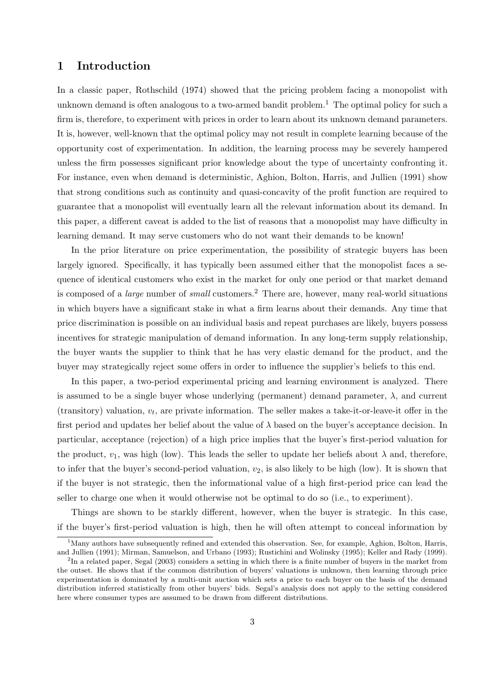## 1 Introduction

In a classic paper, Rothschild (1974) showed that the pricing problem facing a monopolist with unknown demand is often analogous to a two-armed bandit problem.<sup>1</sup> The optimal policy for such a firm is, therefore, to experiment with prices in order to learn about its unknown demand parameters. It is, however, well-known that the optimal policy may not result in complete learning because of the opportunity cost of experimentation. In addition, the learning process may be severely hampered unless the firm possesses significant prior knowledge about the type of uncertainty confronting it. For instance, even when demand is deterministic, Aghion, Bolton, Harris, and Jullien (1991) show that strong conditions such as continuity and quasi-concavity of the profit function are required to guarantee that a monopolist will eventually learn all the relevant information about its demand. In this paper, a different caveat is added to the list of reasons that a monopolist may have difficulty in learning demand. It may serve customers who do not want their demands to be known!

In the prior literature on price experimentation, the possibility of strategic buyers has been largely ignored. Specifically, it has typically been assumed either that the monopolist faces a sequence of identical customers who exist in the market for only one period or that market demand is composed of a *large* number of *small* customers.<sup>2</sup> There are, however, many real-world situations in which buyers have a significant stake in what a firm learns about their demands. Any time that price discrimination is possible on an individual basis and repeat purchases are likely, buyers possess incentives for strategic manipulation of demand information. In any long-term supply relationship, the buyer wants the supplier to think that he has very elastic demand for the product, and the buyer may strategically reject some offers in order to influence the supplier's beliefs to this end.

In this paper, a two-period experimental pricing and learning environment is analyzed. There is assumed to be a single buyer whose underlying (permanent) demand parameter,  $\lambda$ , and current (transitory) valuation,  $v_t$ , are private information. The seller makes a take-it-or-leave-it offer in the first period and updates her belief about the value of  $\lambda$  based on the buyer's acceptance decision. In particular, acceptance (rejection) of a high price implies that the buyer's first-period valuation for the product,  $v_1$ , was high (low). This leads the seller to update her beliefs about  $\lambda$  and, therefore, to infer that the buyer's second-period valuation,  $v_2$ , is also likely to be high (low). It is shown that if the buyer is not strategic, then the informational value of a high first-period price can lead the seller to charge one when it would otherwise not be optimal to do so (i.e., to experiment).

Things are shown to be starkly different, however, when the buyer is strategic. In this case, if the buyer's first-period valuation is high, then he will often attempt to conceal information by

 $<sup>1</sup>$ Many authors have subsequently refined and extended this observation. See, for example, Aghion, Bolton, Harris,</sup> and Jullien (1991); Mirman, Samuelson, and Urbano (1993); Rustichini and Wolinsky (1995); Keller and Rady (1999).

<sup>&</sup>lt;sup>2</sup>In a related paper, Segal (2003) considers a setting in which there is a finite number of buyers in the market from the outset. He shows that if the common distribution of buyers' valuations is unknown, then learning through price experimentation is dominated by a multi-unit auction which sets a price to each buyer on the basis of the demand distribution inferred statistically from other buyers' bids. Segal's analysis does not apply to the setting considered here where consumer types are assumed to be drawn from different distributions.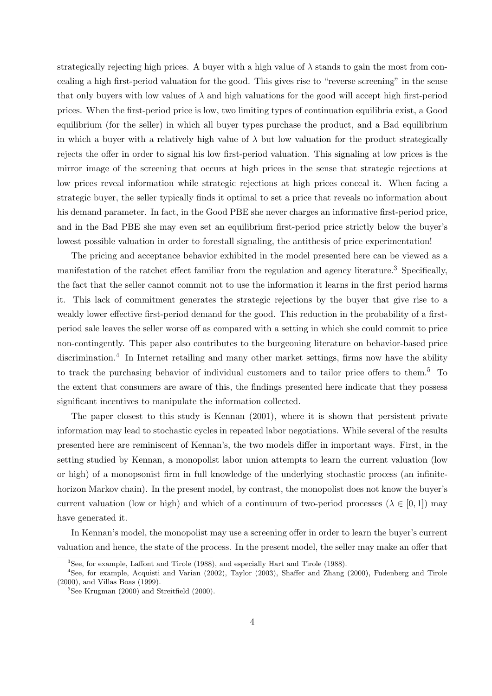strategically rejecting high prices. A buyer with a high value of  $\lambda$  stands to gain the most from concealing a high first-period valuation for the good. This gives rise to "reverse screening" in the sense that only buyers with low values of  $\lambda$  and high valuations for the good will accept high first-period prices. When the first-period price is low, two limiting types of continuation equilibria exist, a Good equilibrium (for the seller) in which all buyer types purchase the product, and a Bad equilibrium in which a buyer with a relatively high value of  $\lambda$  but low valuation for the product strategically rejects the offer in order to signal his low first-period valuation. This signaling at low prices is the mirror image of the screening that occurs at high prices in the sense that strategic rejections at low prices reveal information while strategic rejections at high prices conceal it. When facing a strategic buyer, the seller typically finds it optimal to set a price that reveals no information about his demand parameter. In fact, in the Good PBE she never charges an informative first-period price, and in the Bad PBE she may even set an equilibrium first-period price strictly below the buyer's lowest possible valuation in order to forestall signaling, the antithesis of price experimentation!

The pricing and acceptance behavior exhibited in the model presented here can be viewed as a manifestation of the ratchet effect familiar from the regulation and agency literature.<sup>3</sup> Specifically, the fact that the seller cannot commit not to use the information it learns in the first period harms it. This lack of commitment generates the strategic rejections by the buyer that give rise to a weakly lower effective first-period demand for the good. This reduction in the probability of a firstperiod sale leaves the seller worse off as compared with a setting in which she could commit to price non-contingently. This paper also contributes to the burgeoning literature on behavior-based price discrimination.<sup>4</sup> In Internet retailing and many other market settings, firms now have the ability to track the purchasing behavior of individual customers and to tailor price offers to them.<sup>5</sup> To the extent that consumers are aware of this, the findings presented here indicate that they possess significant incentives to manipulate the information collected.

The paper closest to this study is Kennan (2001), where it is shown that persistent private information may lead to stochastic cycles in repeated labor negotiations. While several of the results presented here are reminiscent of Kennan's, the two models differ in important ways. First, in the setting studied by Kennan, a monopolist labor union attempts to learn the current valuation (low or high) of a monopsonist firm in full knowledge of the underlying stochastic process (an infinitehorizon Markov chain). In the present model, by contrast, the monopolist does not know the buyer's current valuation (low or high) and which of a continuum of two-period processes ( $\lambda \in [0,1]$ ) may have generated it.

In Kennan's model, the monopolist may use a screening offer in order to learn the buyer's current valuation and hence, the state of the process. In the present model, the seller may make an offer that

<sup>3</sup>See, for example, Laffont and Tirole (1988), and especially Hart and Tirole (1988).

<sup>4</sup>See, for example, Acquisti and Varian (2002), Taylor (2003), Shaffer and Zhang (2000), Fudenberg and Tirole (2000), and Villas Boas (1999).

 ${}^{5}$ See Krugman (2000) and Streitfield (2000).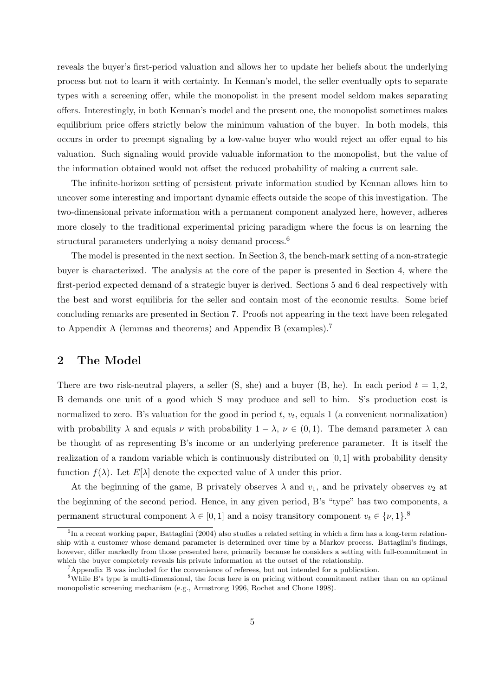reveals the buyer's first-period valuation and allows her to update her beliefs about the underlying process but not to learn it with certainty. In Kennan's model, the seller eventually opts to separate types with a screening offer, while the monopolist in the present model seldom makes separating offers. Interestingly, in both Kennan's model and the present one, the monopolist sometimes makes equilibrium price offers strictly below the minimum valuation of the buyer. In both models, this occurs in order to preempt signaling by a low-value buyer who would reject an offer equal to his valuation. Such signaling would provide valuable information to the monopolist, but the value of the information obtained would not offset the reduced probability of making a current sale.

The infinite-horizon setting of persistent private information studied by Kennan allows him to uncover some interesting and important dynamic effects outside the scope of this investigation. The two-dimensional private information with a permanent component analyzed here, however, adheres more closely to the traditional experimental pricing paradigm where the focus is on learning the structural parameters underlying a noisy demand process.<sup>6</sup>

The model is presented in the next section. In Section 3, the bench-mark setting of a non-strategic buyer is characterized. The analysis at the core of the paper is presented in Section 4, where the first-period expected demand of a strategic buyer is derived. Sections 5 and 6 deal respectively with the best and worst equilibria for the seller and contain most of the economic results. Some brief concluding remarks are presented in Section 7. Proofs not appearing in the text have been relegated to Appendix A (lemmas and theorems) and Appendix B (examples).<sup>7</sup>

## 2 The Model

There are two risk-neutral players, a seller  $(S, she)$  and a buyer  $(B, he)$ . In each period  $t = 1, 2$ , B demands one unit of a good which S may produce and sell to him. S's production cost is normalized to zero. B's valuation for the good in period  $t, v_t$ , equals 1 (a convenient normalization) with probability  $\lambda$  and equals  $\nu$  with probability  $1 - \lambda$ ,  $\nu \in (0, 1)$ . The demand parameter  $\lambda$  can be thought of as representing B's income or an underlying preference parameter. It is itself the realization of a random variable which is continuously distributed on  $[0, 1]$  with probability density function  $f(\lambda)$ . Let  $E[\lambda]$  denote the expected value of  $\lambda$  under this prior.

At the beginning of the game, B privately observes  $\lambda$  and  $v_1$ , and he privately observes  $v_2$  at the beginning of the second period. Hence, in any given period, B's "type" has two components, a permanent structural component  $\lambda \in [0,1]$  and a noisy transitory component  $v_t \in \{\nu,1\}$ .<sup>8</sup>

<sup>&</sup>lt;sup>6</sup>In a recent working paper, Battaglini (2004) also studies a related setting in which a firm has a long-term relationship with a customer whose demand parameter is determined over time by a Markov process. Battaglini's findings, however, differ markedly from those presented here, primarily because he considers a setting with full-commitment in which the buyer completely reveals his private information at the outset of the relationship.

<sup>&</sup>lt;sup>7</sup>Appendix B was included for the convenience of referees, but not intended for a publication.

<sup>&</sup>lt;sup>8</sup>While B's type is multi-dimensional, the focus here is on pricing without commitment rather than on an optimal monopolistic screening mechanism (e.g., Armstrong 1996, Rochet and Chone 1998).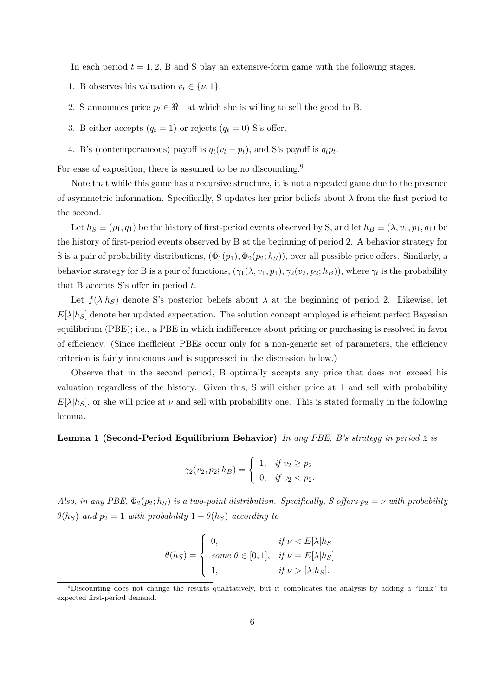In each period  $t = 1, 2, B$  and S play an extensive-form game with the following stages.

- 1. B observes his valuation  $v_t \in \{\nu, 1\}.$
- 2. S announces price  $p_t \in \Re_+$  at which she is willing to sell the good to B.
- 3. B either accepts  $(q_t = 1)$  or rejects  $(q_t = 0)$  S's offer.
- 4. B's (contemporaneous) payoff is  $q_t(v_t p_t)$ , and S's payoff is  $q_t p_t$ .

For ease of exposition, there is assumed to be no discounting.<sup>9</sup>

Note that while this game has a recursive structure, it is not a repeated game due to the presence of asymmetric information. Specifically, S updates her prior beliefs about  $\lambda$  from the first period to the second.

Let  $h_S \equiv (p_1, q_1)$  be the history of first-period events observed by S, and let  $h_B \equiv (\lambda, v_1, p_1, q_1)$  be the history of first-period events observed by B at the beginning of period 2. A behavior strategy for S is a pair of probability distributions,  $(\Phi_1(p_1), \Phi_2(p_2; h_S))$ , over all possible price offers. Similarly, a behavior strategy for B is a pair of functions,  $(\gamma_1(\lambda, v_1, p_1), \gamma_2(v_2, p_2; h_B))$ , where  $\gamma_t$  is the probability that B accepts S's offer in period  $t$ .

Let  $f(\lambda|h_S)$  denote S's posterior beliefs about  $\lambda$  at the beginning of period 2. Likewise, let  $E[\lambda|h_S]$  denote her updated expectation. The solution concept employed is efficient perfect Bayesian equilibrium (PBE); i.e., a PBE in which indifference about pricing or purchasing is resolved in favor of efficiency. (Since inefficient PBEs occur only for a non-generic set of parameters, the efficiency criterion is fairly innocuous and is suppressed in the discussion below.)

Observe that in the second period, B optimally accepts any price that does not exceed his valuation regardless of the history. Given this, S will either price at 1 and sell with probability  $E[\lambda|h_S]$ , or she will price at  $\nu$  and sell with probability one. This is stated formally in the following lemma.

#### Lemma 1 (Second-Period Equilibrium Behavior) In any PBE, B's strategy in period 2 is

$$
\gamma_2(v_2, p_2; h_B) = \begin{cases} 1, & \text{if } v_2 \ge p_2 \\ 0, & \text{if } v_2 < p_2. \end{cases}
$$

Also, in any PBE,  $\Phi_2(p_2; h_S)$  is a two-point distribution. Specifically, S offers  $p_2 = \nu$  with probability  $\theta(h_S)$  and  $p_2 = 1$  with probability  $1 - \theta(h_S)$  according to

$$
\theta(h_S) = \begin{cases} 0, & \text{if } \nu < E[\lambda|h_S] \\ \text{some } \theta \in [0,1], & \text{if } \nu = E[\lambda|h_S] \\ 1, & \text{if } \nu > [\lambda|h_S]. \end{cases}
$$

<sup>9</sup>Discounting does not change the results qualitatively, but it complicates the analysis by adding a "kink" to expected first-period demand.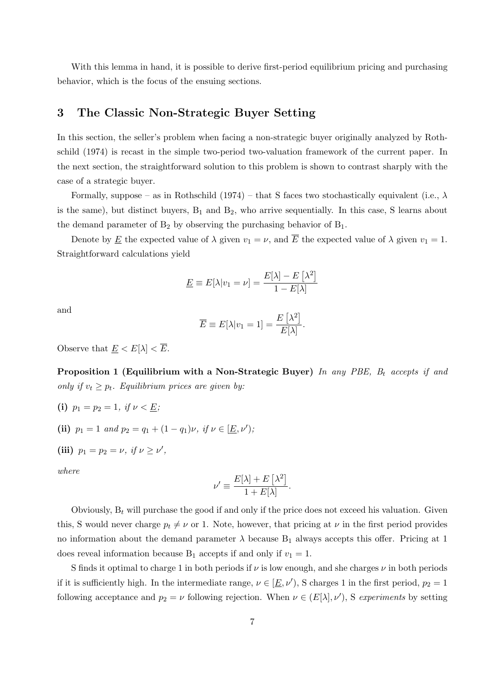With this lemma in hand, it is possible to derive first-period equilibrium pricing and purchasing behavior, which is the focus of the ensuing sections.

## 3 The Classic Non-Strategic Buyer Setting

In this section, the seller's problem when facing a non-strategic buyer originally analyzed by Rothschild (1974) is recast in the simple two-period two-valuation framework of the current paper. In the next section, the straightforward solution to this problem is shown to contrast sharply with the case of a strategic buyer.

Formally, suppose – as in Rothschild (1974) – that S faces two stochastically equivalent (i.e.,  $\lambda$ is the same), but distinct buyers,  $B_1$  and  $B_2$ , who arrive sequentially. In this case, S learns about the demand parameter of  $B_2$  by observing the purchasing behavior of  $B_1$ .

Denote by <u>E</u> the expected value of  $\lambda$  given  $v_1 = \nu$ , and  $\overline{E}$  the expected value of  $\lambda$  given  $v_1 = 1$ . Straightforward calculations yield

$$
\underline{E} \equiv E[\lambda | v_1 = \nu] = \frac{E[\lambda] - E[\lambda^2]}{1 - E[\lambda]}
$$

and

$$
\overline{E} \equiv E[\lambda | v_1 = 1] = \frac{E[\lambda^2]}{E[\lambda]}
$$

.

Observe that  $\underline{E} < E[\lambda] < \overline{E}$ .

**Proposition 1 (Equilibrium with a Non-Strategic Buyer)** In any PBE,  $B_t$  accepts if and only if  $v_t \geq p_t$ . Equilibrium prices are given by:

- (i)  $p_1 = p_2 = 1$ , if  $\nu < E$ ;
- (ii)  $p_1 = 1$  and  $p_2 = q_1 + (1 q_1)\nu$ , if  $\nu \in [\underline{E}, \nu')$ ;
- (iii)  $p_1 = p_2 = \nu$ , if  $\nu \ge \nu'$ ,

where

$$
\nu' \equiv \frac{E[\lambda] + E[\lambda^2]}{1 + E[\lambda]}.
$$

Obviously,  $B_t$  will purchase the good if and only if the price does not exceed his valuation. Given this, S would never charge  $p_t \neq \nu$  or 1. Note, however, that pricing at  $\nu$  in the first period provides no information about the demand parameter  $\lambda$  because  $B_1$  always accepts this offer. Pricing at 1 does reveal information because  $B_1$  accepts if and only if  $v_1 = 1$ .

S finds it optimal to charge 1 in both periods if  $\nu$  is low enough, and she charges  $\nu$  in both periods if it is sufficiently high. In the intermediate range,  $\nu \in [\underline{E}, \nu')$ , S charges 1 in the first period,  $p_2 = 1$ following acceptance and  $p_2 = \nu$  following rejection. When  $\nu \in (E[\lambda], \nu')$ , S experiments by setting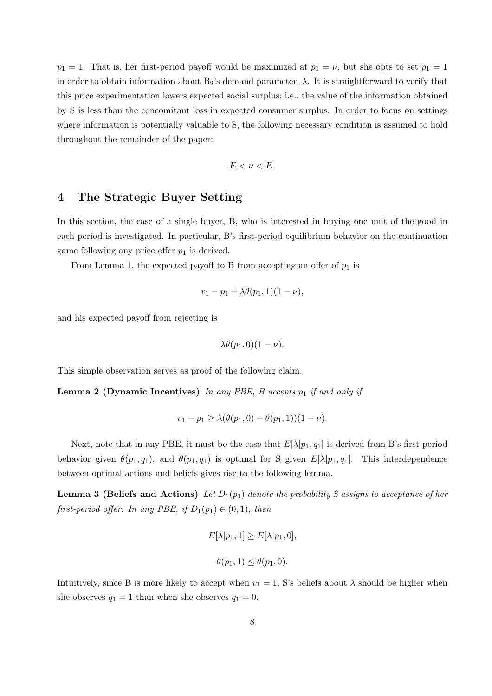$p_1 = 1$ . That is, her first-period payoff would be maximized at  $p_1 = \nu$ , but she opts to set  $p_1 = 1$ in order to obtain information about  $B_2$ 's demand parameter,  $\lambda$ . It is straightforward to verify that this price experimentation lowers expected social surplus; i.e., the value of the information obtained by S is less than the concomitant loss in expected consumer surplus. In order to focus on settings where information is potentially valuable to S, the following necessary condition is assumed to hold throughout the remainder of the paper:

$$
\underline{E} < \nu < \overline{E}.
$$

## 4 The Strategic Buyer Setting

In this section, the case of a single buyer, B, who is interested in buying one unit of the good in each period is investigated. In particular, B's first-period equilibrium behavior on the continuation game following any price offer  $p_1$  is derived.

From Lemma 1, the expected payoff to B from accepting an offer of  $p_1$  is

$$
v_1-p_1+\lambda\theta(p_1,1)(1-\nu),
$$

and his expected payoff from rejecting is

$$
\lambda \theta(p_1,0)(1-\nu).
$$

This simple observation serves as proof of the following claim.

**Lemma 2 (Dynamic Incentives)** In any PBE, B accepts  $p_1$  if and only if

$$
v_1 - p_1 \geq \lambda(\theta(p_1, 0) - \theta(p_1, 1))(1 - \nu).
$$

Next, note that in any PBE, it must be the case that  $E[\lambda|p_1, q_1]$  is derived from B's first-period behavior given  $\theta(p_1, q_1)$ , and  $\theta(p_1, q_1)$  is optimal for S given  $E[\lambda|p_1, q_1]$ . This interdependence between optimal actions and beliefs gives rise to the following lemma.

**Lemma 3 (Beliefs and Actions)** Let  $D_1(p_1)$  denote the probability S assigns to acceptance of her first-period offer. In any PBE, if  $D_1(p_1) \in (0,1)$ , then

$$
E[\lambda|p_1, 1] \ge E[\lambda|p_1, 0],
$$
  

$$
\theta(p_1, 1) \le \theta(p_1, 0).
$$

Intuitively, since B is more likely to accept when  $v_1 = 1$ , S's beliefs about  $\lambda$  should be higher when she observes  $q_1 = 1$  than when she observes  $q_1 = 0$ .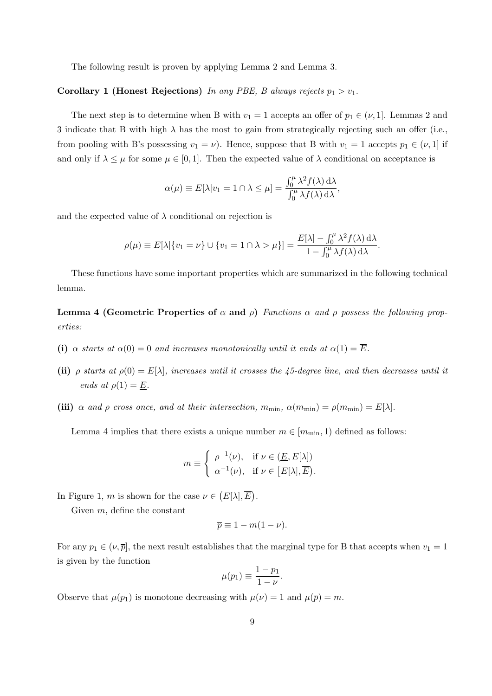The following result is proven by applying Lemma 2 and Lemma 3.

#### Corollary 1 (Honest Rejections) In any PBE, B always rejects  $p_1 > v_1$ .

The next step is to determine when B with  $v_1 = 1$  accepts an offer of  $p_1 \in (\nu, 1]$ . Lemmas 2 and 3 indicate that B with high  $\lambda$  has the most to gain from strategically rejecting such an offer (i.e., from pooling with B's possessing  $v_1 = \nu$ ). Hence, suppose that B with  $v_1 = 1$  accepts  $p_1 \in (\nu, 1]$  if and only if  $\lambda \leq \mu$  for some  $\mu \in [0,1]$ . Then the expected value of  $\lambda$  conditional on acceptance is

$$
\alpha(\mu) \equiv E[\lambda | v_1 = 1 \cap \lambda \le \mu] = \frac{\int_0^{\mu} \lambda^2 f(\lambda) d\lambda}{\int_0^{\mu} \lambda f(\lambda) d\lambda},
$$

and the expected value of  $\lambda$  conditional on rejection is

$$
\rho(\mu) \equiv E[\lambda | \{v_1 = \nu\} \cup \{v_1 = 1 \cap \lambda > \mu\}] = \frac{E[\lambda] - \int_0^{\mu} \lambda^2 f(\lambda) d\lambda}{1 - \int_0^{\mu} \lambda f(\lambda) d\lambda}.
$$

These functions have some important properties which are summarized in the following technical lemma.

**Lemma 4 (Geometric Properties of**  $\alpha$  **and**  $\rho$ **)** Functions  $\alpha$  and  $\rho$  possess the following properties:

- (i)  $\alpha$  starts at  $\alpha(0) = 0$  and increases monotonically until it ends at  $\alpha(1) = \overline{E}$ .
- (ii)  $\rho$  starts at  $\rho(0) = E[\lambda]$ , increases until it crosses the 45-degree line, and then decreases until it ends at  $\rho(1) = \underline{E}$ .
- (iii)  $\alpha$  and  $\rho$  cross once, and at their intersection,  $m_{\text{min}}$ ,  $\alpha(m_{\text{min}}) = \rho(m_{\text{min}}) = E[\lambda]$ .

Lemma 4 implies that there exists a unique number  $m \in [m_{\text{min}}, 1)$  defined as follows:

$$
m \equiv \begin{cases} \rho^{-1}(\nu), & \text{if } \nu \in (\underline{E}, E[\lambda]) \\ \alpha^{-1}(\nu), & \text{if } \nu \in [E[\lambda], \overline{E}). \end{cases}
$$

In Figure 1, m is shown for the case  $\nu \in$ ¡  $E[\lambda], \overline{E}$ ¢ .

Given m, define the constant

$$
\overline{p} \equiv 1 - m(1 - \nu).
$$

For any  $p_1 \in (\nu, \bar{p}]$ , the next result establishes that the marginal type for B that accepts when  $v_1 = 1$ is given by the function

$$
\mu(p_1) \equiv \frac{1 - p_1}{1 - \nu}.
$$

Observe that  $\mu(p_1)$  is monotone decreasing with  $\mu(\nu) = 1$  and  $\mu(\bar{p}) = m$ .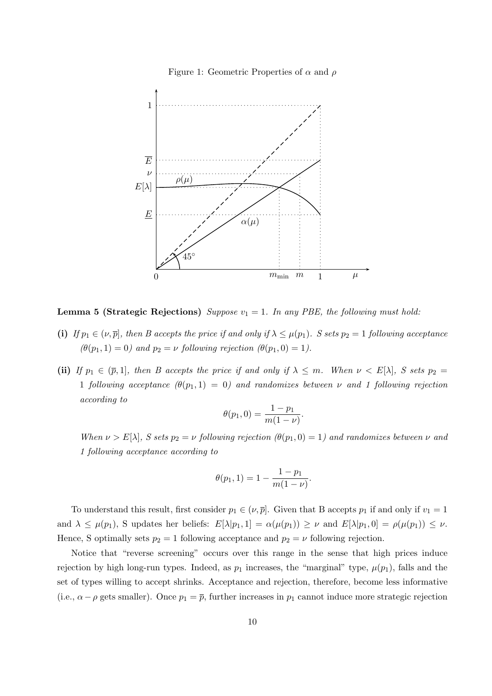

Figure 1: Geometric Properties of  $\alpha$  and  $\rho$ 

**Lemma 5 (Strategic Rejections)** Suppose  $v_1 = 1$ . In any PBE, the following must hold:

- (i) If  $p_1 \in (\nu, \overline{p}]$ , then B accepts the price if and only if  $\lambda \leq \mu(p_1)$ . S sets  $p_2 = 1$  following acceptance  $(\theta(p_1, 1) = 0)$  and  $p_2 = \nu$  following rejection  $(\theta(p_1, 0) = 1)$ .
- (ii) If  $p_1 \in (\bar{p}, 1]$ , then B accepts the price if and only if  $\lambda \leq m$ . When  $\nu \lt E[\lambda]$ , S sets  $p_2 =$ 1 following acceptance  $(\theta(p_1, 1) = 0)$  and randomizes between  $\nu$  and 1 following rejection according to

$$
\theta(p_1, 0) = \frac{1 - p_1}{m(1 - \nu)}.
$$

When  $\nu > E[\lambda]$ , S sets  $p_2 = \nu$  following rejection  $(\theta(p_1, 0) = 1)$  and randomizes between  $\nu$  and 1 following acceptance according to

$$
\theta(p_1, 1) = 1 - \frac{1 - p_1}{m(1 - \nu)}.
$$

To understand this result, first consider  $p_1 \in (\nu, \overline{p}]$ . Given that B accepts  $p_1$  if and only if  $v_1 = 1$ and  $\lambda \leq \mu(p_1)$ , S updates her beliefs:  $E[\lambda|p_1,1] = \alpha(\mu(p_1)) \geq \nu$  and  $E[\lambda|p_1,0] = \rho(\mu(p_1)) \leq \nu$ . Hence, S optimally sets  $p_2 = 1$  following acceptance and  $p_2 = \nu$  following rejection.

Notice that "reverse screening" occurs over this range in the sense that high prices induce rejection by high long-run types. Indeed, as  $p_1$  increases, the "marginal" type,  $\mu(p_1)$ , falls and the set of types willing to accept shrinks. Acceptance and rejection, therefore, become less informative (i.e.,  $\alpha - \rho$  gets smaller). Once  $p_1 = \overline{p}$ , further increases in  $p_1$  cannot induce more strategic rejection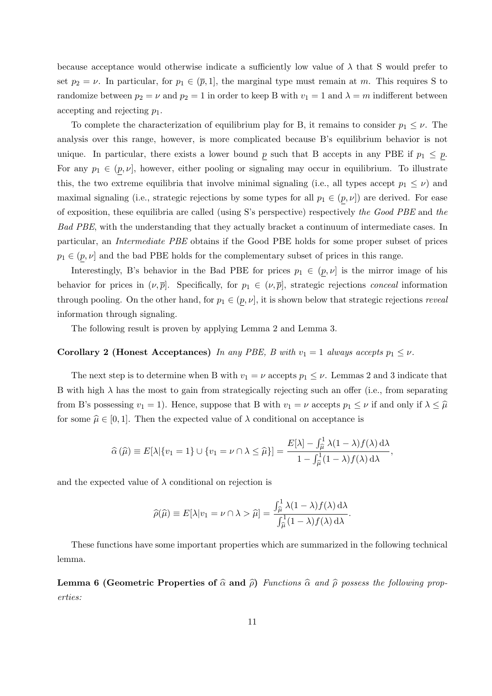because acceptance would otherwise indicate a sufficiently low value of  $\lambda$  that S would prefer to set  $p_2 = \nu$ . In particular, for  $p_1 \in (\bar{p}, 1]$ , the marginal type must remain at m. This requires S to randomize between  $p_2 = \nu$  and  $p_2 = 1$  in order to keep B with  $v_1 = 1$  and  $\lambda = m$  indifferent between accepting and rejecting  $p_1$ .

To complete the characterization of equilibrium play for B, it remains to consider  $p_1 \leq \nu$ . The analysis over this range, however, is more complicated because B's equilibrium behavior is not unique. In particular, there exists a lower bound p such that B accepts in any PBE if  $p_1 \leq p$ . For any  $p_1 \in (p, \nu]$ , however, either pooling or signaling may occur in equilibrium. To illustrate this, the two extreme equilibria that involve minimal signaling (i.e., all types accept  $p_1 \leq \nu$ ) and maximal signaling (i.e., strategic rejections by some types for all  $p_1 \in (p, \nu)$ ) are derived. For ease of exposition, these equilibria are called (using S's perspective) respectively the Good PBE and the Bad PBE, with the understanding that they actually bracket a continuum of intermediate cases. In particular, an Intermediate PBE obtains if the Good PBE holds for some proper subset of prices  $p_1 \in (p, \nu]$  and the bad PBE holds for the complementary subset of prices in this range.

Interestingly, B's behavior in the Bad PBE for prices  $p_1 \in (p, \nu]$  is the mirror image of his behavior for prices in  $(\nu, \bar{p}]$ . Specifically, for  $p_1 \in (\nu, \bar{p}]$ , strategic rejections *conceal* information through pooling. On the other hand, for  $p_1 \in (p, \nu]$ , it is shown below that strategic rejections reveal information through signaling.

The following result is proven by applying Lemma 2 and Lemma 3.

#### Corollary 2 (Honest Acceptances) In any PBE, B with  $v_1 = 1$  always accepts  $p_1 \leq v$ .

The next step is to determine when B with  $v_1 = \nu$  accepts  $p_1 \leq \nu$ . Lemmas 2 and 3 indicate that B with high  $\lambda$  has the most to gain from strategically rejecting such an offer (i.e., from separating from B's possessing  $v_1 = 1$ ). Hence, suppose that B with  $v_1 = \nu$  accepts  $p_1 \leq \nu$  if and only if  $\lambda \leq \hat{\mu}$ for some  $\hat{\mu} \in [0, 1]$ . Then the expected value of  $\lambda$  conditional on acceptance is

$$
\widehat{\alpha}(\widehat{\mu}) \equiv E[\lambda | \{v_1 = 1\} \cup \{v_1 = \nu \cap \lambda \leq \widehat{\mu}\}] = \frac{E[\lambda] - \int_{\widehat{\mu}}^1 \lambda (1 - \lambda) f(\lambda) d\lambda}{1 - \int_{\widehat{\mu}}^1 (1 - \lambda) f(\lambda) d\lambda},
$$

and the expected value of  $\lambda$  conditional on rejection is

$$
\widehat{\rho}(\widehat{\mu}) \equiv E[\lambda | v_1 = \nu \cap \lambda > \widehat{\mu}] = \frac{\int_{\widehat{\mu}}^1 \lambda (1 - \lambda) f(\lambda) d\lambda}{\int_{\widehat{\mu}}^1 (1 - \lambda) f(\lambda) d\lambda}.
$$

These functions have some important properties which are summarized in the following technical lemma.

**Lemma 6 (Geometric Properties of**  $\hat{\alpha}$  and  $\hat{\rho}$ ) Functions  $\hat{\alpha}$  and  $\hat{\rho}$  possess the following properties: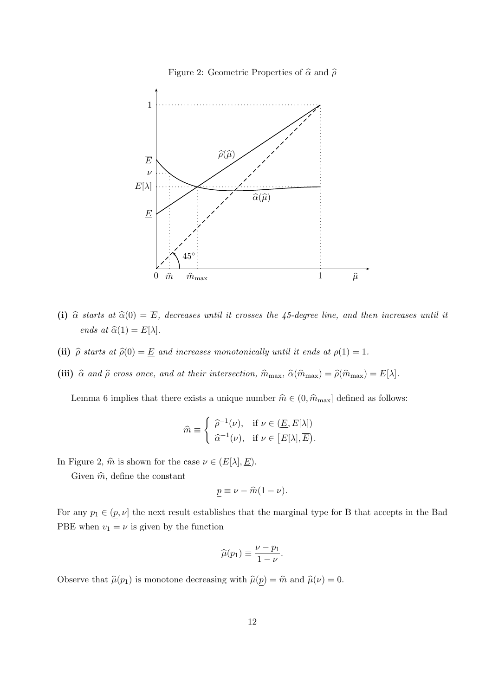



- (i)  $\hat{\alpha}$  starts at  $\hat{\alpha}(0) = \overline{E}$ , decreases until it crosses the 45-degree line, and then increases until it ends at  $\widehat{\alpha}(1) = E[\lambda].$
- (ii)  $\hat{\rho}$  starts at  $\hat{\rho}(0) = \underline{E}$  and increases monotonically until it ends at  $\rho(1) = 1$ .
- (iii)  $\hat{\alpha}$  and  $\hat{\rho}$  cross once, and at their intersection,  $\hat{m}_{\text{max}}$ ,  $\hat{\alpha}(\hat{m}_{\text{max}}) = \hat{\rho}(\hat{m}_{\text{max}}) = E[\lambda].$

Lemma 6 implies that there exists a unique number  $\hat{m} \in (0, \hat{m}_{\text{max}}]$  defined as follows:

$$
\widehat{m} \equiv \begin{cases} \widehat{\rho}^{-1}(\nu), & \text{if } \nu \in (\underline{E}, E[\lambda]) \\ \widehat{\alpha}^{-1}(\nu), & \text{if } \nu \in [E[\lambda], \overline{E}). \end{cases}
$$

In Figure 2,  $\hat{m}$  is shown for the case  $\nu \in (E[\lambda], \underline{E})$ .

Given  $\hat{m}$ , define the constant

$$
\underline{p} \equiv \nu - \widehat{m}(1 - \nu).
$$

For any  $p_1 \in (p, \nu]$  the next result establishes that the marginal type for B that accepts in the Bad PBE when  $v_1 = \nu$  is given by the function

$$
\widehat{\mu}(p_1) \equiv \frac{\nu - p_1}{1 - \nu}.
$$

Observe that  $\hat{\mu}(p_1)$  is monotone decreasing with  $\hat{\mu}(p) = \hat{m}$  and  $\hat{\mu}(\nu) = 0$ .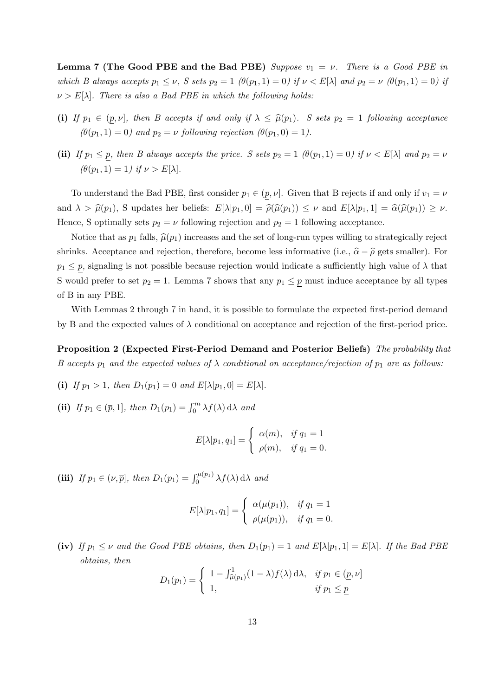Lemma 7 (The Good PBE and the Bad PBE) Suppose  $v_1 = v$ . There is a Good PBE in which B always accepts  $p_1 \leq \nu$ , S sets  $p_2 = 1$  ( $\theta(p_1, 1) = 0$ ) if  $\nu < E[\lambda]$  and  $p_2 = \nu$  ( $\theta(p_1, 1) = 0$ ) if  $\nu > E[\lambda]$ . There is also a Bad PBE in which the following holds:

- (i) If  $p_1 \in (p, \nu]$ , then B accepts if and only if  $\lambda \leq \hat{\mu}(p_1)$ . S sets  $p_2 = 1$  following acceptance  $(\theta(p_1, 1) = 0)$  and  $p_2 = \nu$  following rejection  $(\theta(p_1, 0) = 1)$ .
- (ii) If  $p_1 \leq p$ , then B always accepts the price. S sets  $p_2 = 1$  ( $\theta(p_1, 1) = 0$ ) if  $\nu < E[\lambda]$  and  $p_2 = \nu$  $(\theta(p_1, 1) = 1)$  if  $\nu > E[\lambda]$ .

To understand the Bad PBE, first consider  $p_1 \in (p, \nu]$ . Given that B rejects if and only if  $v_1 = \nu$ and  $\lambda > \hat{\mu}(p_1)$ , S updates her beliefs:  $E[\lambda|p_1, 0] = \hat{\rho}(\hat{\mu}(p_1)) \leq \nu$  and  $E[\lambda|p_1, 1] = \hat{\alpha}(\hat{\mu}(p_1)) \geq \nu$ . Hence, S optimally sets  $p_2 = \nu$  following rejection and  $p_2 = 1$  following acceptance.

Notice that as  $p_1$  falls,  $\hat{\mu}(p_1)$  increases and the set of long-run types willing to strategically reject shrinks. Acceptance and rejection, therefore, become less informative (i.e.,  $\hat{\alpha} - \hat{\rho}$  gets smaller). For  $p_1 \leq p$ , signaling is not possible because rejection would indicate a sufficiently high value of  $\lambda$  that S would prefer to set  $p_2 = 1$ . Lemma 7 shows that any  $p_1 \leq p$  must induce acceptance by all types of B in any PBE.

With Lemmas 2 through 7 in hand, it is possible to formulate the expected first-period demand by B and the expected values of  $\lambda$  conditional on acceptance and rejection of the first-period price.

Proposition 2 (Expected First-Period Demand and Posterior Beliefs) The probability that B accepts  $p_1$  and the expected values of  $\lambda$  conditional on acceptance/rejection of  $p_1$  are as follows:

- (i) If  $p_1 > 1$ , then  $D_1(p_1) = 0$  and  $E[\lambda | p_1, 0] = E[\lambda]$ .
- (ii) If  $p_1 \in (\bar{p}, 1]$ , then  $D_1(p_1) = \int_0^m \lambda f(\lambda) d\lambda$  and

$$
E[\lambda|p_1, q_1] = \begin{cases} \alpha(m), & \text{if } q_1 = 1 \\ \rho(m), & \text{if } q_1 = 0. \end{cases}
$$

(iii) If  $p_1 \in (\nu, \overline{p}]$ , then  $D_1(p_1) = \int_0^{\mu(p_1)} \lambda f(\lambda) d\lambda$  and

$$
E[\lambda|p_1, q_1] = \begin{cases} \alpha(\mu(p_1)), & \text{if } q_1 = 1 \\ \rho(\mu(p_1)), & \text{if } q_1 = 0. \end{cases}
$$

(iv) If  $p_1 \leq \nu$  and the Good PBE obtains, then  $D_1(p_1) = 1$  and  $E[\lambda|p_1, 1] = E[\lambda]$ . If the Bad PBE obtains, then

$$
D_1(p_1) = \begin{cases} 1 - \int_{\widehat{\mu}(p_1)}^1 (1 - \lambda) f(\lambda) d\lambda, & \text{if } p_1 \in (\underline{p}, \nu] \\ 1, & \text{if } p_1 \le \underline{p} \end{cases}
$$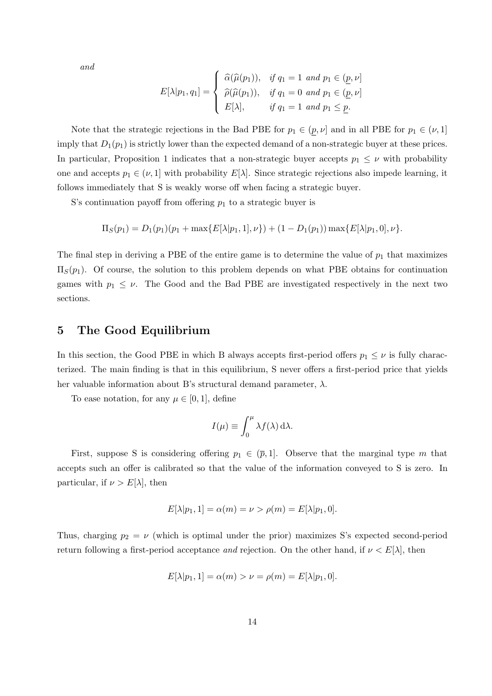and

$$
E[\lambda|p_1, q_1] = \begin{cases} \widehat{\alpha}(\widehat{\mu}(p_1)), & \text{if } q_1 = 1 \text{ and } p_1 \in (\underline{p}, \nu] \\ \widehat{\rho}(\widehat{\mu}(p_1)), & \text{if } q_1 = 0 \text{ and } p_1 \in (\underline{p}, \nu] \\ E[\lambda], & \text{if } q_1 = 1 \text{ and } p_1 \leq \underline{p}. \end{cases}
$$

Note that the strategic rejections in the Bad PBE for  $p_1 \in (p, \nu]$  and in all PBE for  $p_1 \in (\nu, 1]$ imply that  $D_1(p_1)$  is strictly lower than the expected demand of a non-strategic buyer at these prices. In particular, Proposition 1 indicates that a non-strategic buyer accepts  $p_1 \leq \nu$  with probability one and accepts  $p_1 \in (\nu, 1]$  with probability  $E[\lambda]$ . Since strategic rejections also impede learning, it follows immediately that S is weakly worse off when facing a strategic buyer.

S's continuation payoff from offering  $p_1$  to a strategic buyer is

$$
\Pi_S(p_1) = D_1(p_1)(p_1 + \max\{E[\lambda|p_1, 1], \nu\}) + (1 - D_1(p_1)) \max\{E[\lambda|p_1, 0], \nu\}.
$$

The final step in deriving a PBE of the entire game is to determine the value of  $p_1$  that maximizes  $\Pi_S(p_1)$ . Of course, the solution to this problem depends on what PBE obtains for continuation games with  $p_1 \leq \nu$ . The Good and the Bad PBE are investigated respectively in the next two sections.

### 5 The Good Equilibrium

In this section, the Good PBE in which B always accepts first-period offers  $p_1 \leq \nu$  is fully characterized. The main finding is that in this equilibrium, S never offers a first-period price that yields her valuable information about B's structural demand parameter, λ.

To ease notation, for any  $\mu \in [0, 1]$ , define

$$
I(\mu) \equiv \int_0^{\mu} \lambda f(\lambda) d\lambda.
$$

First, suppose S is considering offering  $p_1 \in (\bar{p}, 1]$ . Observe that the marginal type m that accepts such an offer is calibrated so that the value of the information conveyed to S is zero. In particular, if  $\nu > E[\lambda]$ , then

$$
E[\lambda|p_1,1] = \alpha(m) = \nu > \rho(m) = E[\lambda|p_1,0].
$$

Thus, charging  $p_2 = \nu$  (which is optimal under the prior) maximizes S's expected second-period return following a first-period acceptance and rejection. On the other hand, if  $\nu < E[\lambda]$ , then

$$
E[\lambda | p_1, 1] = \alpha(m) > \nu = \rho(m) = E[\lambda | p_1, 0].
$$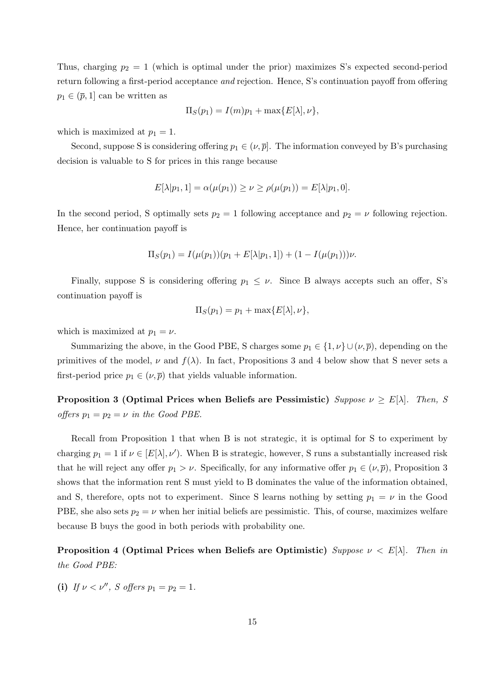Thus, charging  $p_2 = 1$  (which is optimal under the prior) maximizes S's expected second-period return following a first-period acceptance and rejection. Hence, S's continuation payoff from offering  $p_1 \in (\bar{p}, 1]$  can be written as

$$
\Pi_S(p_1) = I(m)p_1 + \max\{E[\lambda], \nu\},\
$$

which is maximized at  $p_1 = 1$ .

Second, suppose S is considering offering  $p_1 \in (\nu, \bar{p}]$ . The information conveyed by B's purchasing decision is valuable to S for prices in this range because

$$
E[\lambda | p_1, 1] = \alpha(\mu(p_1)) \ge \nu \ge \rho(\mu(p_1)) = E[\lambda | p_1, 0].
$$

In the second period, S optimally sets  $p_2 = 1$  following acceptance and  $p_2 = \nu$  following rejection. Hence, her continuation payoff is

$$
\Pi_S(p_1) = I(\mu(p_1))(p_1 + E[\lambda|p_1, 1]) + (1 - I(\mu(p_1)))\nu.
$$

Finally, suppose S is considering offering  $p_1 \leq \nu$ . Since B always accepts such an offer, S's continuation payoff is

$$
\Pi_S(p_1) = p_1 + \max\{E[\lambda], \nu\},\
$$

which is maximized at  $p_1 = \nu$ .

Summarizing the above, in the Good PBE, S charges some  $p_1 \in \{1, \nu\} \cup (\nu, \overline{p})$ , depending on the primitives of the model,  $\nu$  and  $f(\lambda)$ . In fact, Propositions 3 and 4 below show that S never sets a first-period price  $p_1 \in (\nu, \overline{p})$  that yields valuable information.

**Proposition 3 (Optimal Prices when Beliefs are Pessimistic)** Suppose  $\nu \geq E[\lambda]$ . Then, S offers  $p_1 = p_2 = \nu$  in the Good PBE.

Recall from Proposition 1 that when B is not strategic, it is optimal for S to experiment by charging  $p_1 = 1$  if  $\nu \in [E[\lambda], \nu')$ . When B is strategic, however, S runs a substantially increased risk that he will reject any offer  $p_1 > \nu$ . Specifically, for any informative offer  $p_1 \in (\nu, \overline{p})$ , Proposition 3 shows that the information rent S must yield to B dominates the value of the information obtained, and S, therefore, opts not to experiment. Since S learns nothing by setting  $p_1 = \nu$  in the Good PBE, she also sets  $p_2 = \nu$  when her initial beliefs are pessimistic. This, of course, maximizes welfare because B buys the good in both periods with probability one.

**Proposition 4 (Optimal Prices when Beliefs are Optimistic)** Suppose  $\nu < E[\lambda]$ . Then in the Good PBE:

(i) If  $\nu < \nu''$ , S offers  $p_1 = p_2 = 1$ .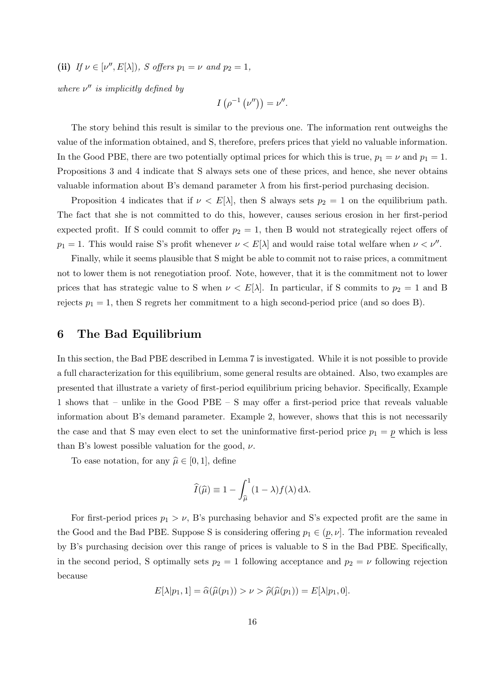(ii) If  $\nu \in [\nu'', E[\lambda]), S$  offers  $p_1 = \nu$  and  $p_2 = 1$ ,

where  $\nu''$  is implicitly defined by

$$
I\left(\rho^{-1}\left(\nu''\right)\right) = \nu''.
$$

The story behind this result is similar to the previous one. The information rent outweighs the value of the information obtained, and S, therefore, prefers prices that yield no valuable information. In the Good PBE, there are two potentially optimal prices for which this is true,  $p_1 = \nu$  and  $p_1 = 1$ . Propositions 3 and 4 indicate that S always sets one of these prices, and hence, she never obtains valuable information about B's demand parameter  $\lambda$  from his first-period purchasing decision.

Proposition 4 indicates that if  $\nu < E[\lambda]$ , then S always sets  $p_2 = 1$  on the equilibrium path. The fact that she is not committed to do this, however, causes serious erosion in her first-period expected profit. If S could commit to offer  $p_2 = 1$ , then B would not strategically reject offers of  $p_1 = 1$ . This would raise S's profit whenever  $\nu < E[\lambda]$  and would raise total welfare when  $\nu < \nu''$ .

Finally, while it seems plausible that S might be able to commit not to raise prices, a commitment not to lower them is not renegotiation proof. Note, however, that it is the commitment not to lower prices that has strategic value to S when  $\nu < E[\lambda]$ . In particular, if S commits to  $p_2 = 1$  and B rejects  $p_1 = 1$ , then S regrets her commitment to a high second-period price (and so does B).

## 6 The Bad Equilibrium

In this section, the Bad PBE described in Lemma 7 is investigated. While it is not possible to provide a full characterization for this equilibrium, some general results are obtained. Also, two examples are presented that illustrate a variety of first-period equilibrium pricing behavior. Specifically, Example 1 shows that – unlike in the Good PBE – S may offer a first-period price that reveals valuable information about B's demand parameter. Example 2, however, shows that this is not necessarily the case and that S may even elect to set the uninformative first-period price  $p_1 = p$  which is less than B's lowest possible valuation for the good,  $\nu$ .

To ease notation, for any  $\hat{\mu} \in [0, 1]$ , define

$$
\widehat{I}(\widehat{\mu}) \equiv 1 - \int_{\widehat{\mu}}^1 (1 - \lambda) f(\lambda) \, \mathrm{d}\lambda.
$$

For first-period prices  $p_1 > \nu$ , B's purchasing behavior and S's expected profit are the same in the Good and the Bad PBE. Suppose S is considering offering  $p_1 \in (p, \nu]$ . The information revealed by B's purchasing decision over this range of prices is valuable to S in the Bad PBE. Specifically, in the second period, S optimally sets  $p_2 = 1$  following acceptance and  $p_2 = \nu$  following rejection because

$$
E[\lambda|p_1,1] = \widehat{\alpha}(\widehat{\mu}(p_1)) > \nu > \widehat{\rho}(\widehat{\mu}(p_1)) = E[\lambda|p_1,0].
$$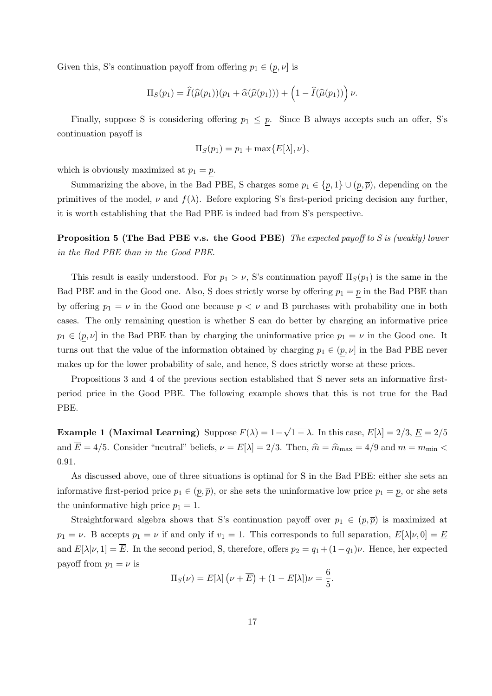Given this, S's continuation payoff from offering  $p_1 \in (p, \nu]$  is

$$
\Pi_S(p_1) = \widehat{I}(\widehat{\mu}(p_1))(p_1 + \widehat{\alpha}(\widehat{\mu}(p_1))) + \left(1 - \widehat{I}(\widehat{\mu}(p_1))\right)\nu.
$$

Finally, suppose S is considering offering  $p_1 \leq p$ . Since B always accepts such an offer, S's continuation payoff is

$$
\Pi_S(p_1) = p_1 + \max\{E[\lambda], \nu\},\
$$

which is obviously maximized at  $p_1 = p$ .

Summarizing the above, in the Bad PBE, S charges some  $p_1 \in \{p, 1\} \cup (p, \overline{p})$ , depending on the primitives of the model,  $\nu$  and  $f(\lambda)$ . Before exploring S's first-period pricing decision any further, it is worth establishing that the Bad PBE is indeed bad from S's perspective.

**Proposition 5 (The Bad PBE v.s. the Good PBE)** The expected payoff to S is (weakly) lower in the Bad PBE than in the Good PBE.

This result is easily understood. For  $p_1 > \nu$ , S's continuation payoff  $\Pi_S(p_1)$  is the same in the Bad PBE and in the Good one. Also, S does strictly worse by offering  $p_1 = p$  in the Bad PBE than by offering  $p_1 = \nu$  in the Good one because  $p < \nu$  and B purchases with probability one in both cases. The only remaining question is whether S can do better by charging an informative price  $p_1 \in (p, \nu]$  in the Bad PBE than by charging the uninformative price  $p_1 = \nu$  in the Good one. It turns out that the value of the information obtained by charging  $p_1 \in (p, \nu]$  in the Bad PBE never makes up for the lower probability of sale, and hence, S does strictly worse at these prices.

Propositions 3 and 4 of the previous section established that S never sets an informative firstperiod price in the Good PBE. The following example shows that this is not true for the Bad PBE.

Example 1 (Maximal Learning) Suppose  $F(\lambda) = 1-\lambda$ √  $\overline{1-\lambda}$ . In this case,  $E[\lambda] = 2/3, E \equiv 2/5$ and  $\overline{E} = 4/5$ . Consider "neutral" beliefs,  $\nu = E[\lambda] = 2/3$ . Then,  $\hat{m} = \hat{m}_{\text{max}} = 4/9$  and  $m = m_{\text{min}} <$ 0.91.

As discussed above, one of three situations is optimal for S in the Bad PBE: either she sets an informative first-period price  $p_1 \in (p, \bar{p})$ , or she sets the uninformative low price  $p_1 = p$ , or she sets the uninformative high price  $p_1 = 1$ .

Straightforward algebra shows that S's continuation payoff over  $p_1 \in (p, \overline{p})$  is maximized at  $p_1 = \nu$ . B accepts  $p_1 = \nu$  if and only if  $v_1 = 1$ . This corresponds to full separation,  $E[\lambda | \nu, 0] = \underline{E}$ and  $E[\lambda|\nu, 1] = \overline{E}$ . In the second period, S, therefore, offers  $p_2 = q_1 + (1-q_1)\nu$ . Hence, her expected payoff from  $p_1 = \nu$  is

$$
\Pi_S(\nu) = E[\lambda] \left( \nu + \overline{E} \right) + (1 - E[\lambda]) \nu = \frac{6}{5}.
$$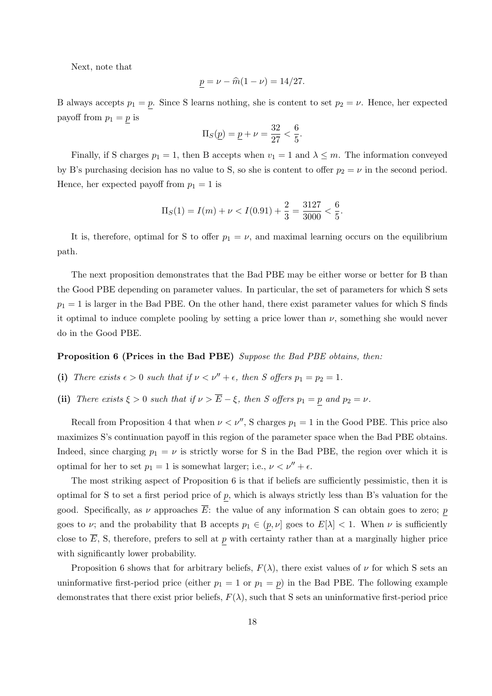Next, note that

$$
p = \nu - \widehat{m}(1 - \nu) = 14/27.
$$

B always accepts  $p_1 = p$ . Since S learns nothing, she is content to set  $p_2 = \nu$ . Hence, her expected payoff from  $p_1 = p$  is

$$
\Pi_S(\underline{p}) = \underline{p} + \nu = \frac{32}{27} < \frac{6}{5}.
$$

Finally, if S charges  $p_1 = 1$ , then B accepts when  $v_1 = 1$  and  $\lambda \leq m$ . The information conveyed by B's purchasing decision has no value to S, so she is content to offer  $p_2 = \nu$  in the second period. Hence, her expected payoff from  $p_1 = 1$  is

$$
\Pi_S(1) = I(m) + \nu < I(0.91) + \frac{2}{3} = \frac{3127}{3000} < \frac{6}{5}.
$$

It is, therefore, optimal for S to offer  $p_1 = \nu$ , and maximal learning occurs on the equilibrium path.

The next proposition demonstrates that the Bad PBE may be either worse or better for B than the Good PBE depending on parameter values. In particular, the set of parameters for which S sets  $p_1 = 1$  is larger in the Bad PBE. On the other hand, there exist parameter values for which S finds it optimal to induce complete pooling by setting a price lower than  $\nu$ , something she would never do in the Good PBE.

#### Proposition 6 (Prices in the Bad PBE) Suppose the Bad PBE obtains, then:

- (i) There exists  $\epsilon > 0$  such that if  $\nu < \nu'' + \epsilon$ , then S offers  $p_1 = p_2 = 1$ .
- (ii) There exists  $\xi > 0$  such that if  $\nu > \overline{E} \xi$ , then S offers  $p_1 = p$  and  $p_2 = \nu$ .

Recall from Proposition 4 that when  $\nu < \nu''$ , S charges  $p_1 = 1$  in the Good PBE. This price also maximizes S's continuation payoff in this region of the parameter space when the Bad PBE obtains. Indeed, since charging  $p_1 = \nu$  is strictly worse for S in the Bad PBE, the region over which it is optimal for her to set  $p_1 = 1$  is somewhat larger; i.e.,  $\nu < \nu'' + \epsilon$ .

The most striking aspect of Proposition 6 is that if beliefs are sufficiently pessimistic, then it is optimal for S to set a first period price of  $p$ , which is always strictly less than B's valuation for the good. Specifically, as  $\nu$  approaches  $\overline{E}$ : the value of any information S can obtain goes to zero; p goes to  $\nu$ ; and the probability that B accepts  $p_1 \in (p, \nu]$  goes to  $E[\lambda] < 1$ . When  $\nu$  is sufficiently close to  $\overline{E}$ , S, therefore, prefers to sell at p with certainty rather than at a marginally higher price with significantly lower probability.

Proposition 6 shows that for arbitrary beliefs,  $F(\lambda)$ , there exist values of  $\nu$  for which S sets an uninformative first-period price (either  $p_1 = 1$  or  $p_1 = p$ ) in the Bad PBE. The following example demonstrates that there exist prior beliefs,  $F(\lambda)$ , such that S sets an uninformative first-period price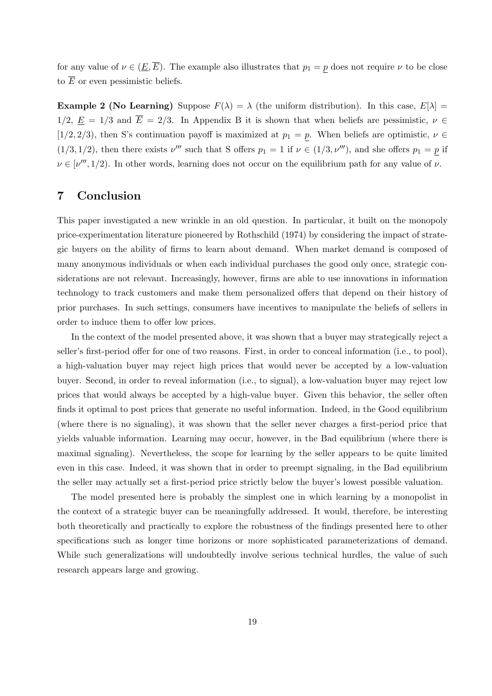for any value of  $\nu \in (\underline{E}, \overline{E})$ . The example also illustrates that  $p_1 = \underline{p}$  does not require  $\nu$  to be close to  $\overline{E}$  or even pessimistic beliefs.

**Example 2 (No Learning)** Suppose  $F(\lambda) = \lambda$  (the uniform distribution). In this case,  $E[\lambda] =$  $1/2, E = 1/3$  and  $\overline{E} = 2/3$ . In Appendix B it is shown that when beliefs are pessimistic,  $\nu \in$ [1/2, 2/3), then S's continuation payoff is maximized at  $p_1 = p$ . When beliefs are optimistic,  $\nu \in$  $(1/3, 1/2)$ , then there exists  $\nu^{\prime\prime\prime}$  such that S offers  $p_1 = 1$  if  $\nu \in (1/3, \nu^{\prime\prime\prime})$ , and she offers  $p_1 = p$  if  $\nu \in [\nu^{\prime\prime\prime},1/2]$ . In other words, learning does not occur on the equilibrium path for any value of  $\nu$ .

## 7 Conclusion

This paper investigated a new wrinkle in an old question. In particular, it built on the monopoly price-experimentation literature pioneered by Rothschild (1974) by considering the impact of strategic buyers on the ability of firms to learn about demand. When market demand is composed of many anonymous individuals or when each individual purchases the good only once, strategic considerations are not relevant. Increasingly, however, firms are able to use innovations in information technology to track customers and make them personalized offers that depend on their history of prior purchases. In such settings, consumers have incentives to manipulate the beliefs of sellers in order to induce them to offer low prices.

In the context of the model presented above, it was shown that a buyer may strategically reject a seller's first-period offer for one of two reasons. First, in order to conceal information (i.e., to pool), a high-valuation buyer may reject high prices that would never be accepted by a low-valuation buyer. Second, in order to reveal information (i.e., to signal), a low-valuation buyer may reject low prices that would always be accepted by a high-value buyer. Given this behavior, the seller often finds it optimal to post prices that generate no useful information. Indeed, in the Good equilibrium (where there is no signaling), it was shown that the seller never charges a first-period price that yields valuable information. Learning may occur, however, in the Bad equilibrium (where there is maximal signaling). Nevertheless, the scope for learning by the seller appears to be quite limited even in this case. Indeed, it was shown that in order to preempt signaling, in the Bad equilibrium the seller may actually set a first-period price strictly below the buyer's lowest possible valuation.

The model presented here is probably the simplest one in which learning by a monopolist in the context of a strategic buyer can be meaningfully addressed. It would, therefore, be interesting both theoretically and practically to explore the robustness of the findings presented here to other specifications such as longer time horizons or more sophisticated parameterizations of demand. While such generalizations will undoubtedly involve serious technical hurdles, the value of such research appears large and growing.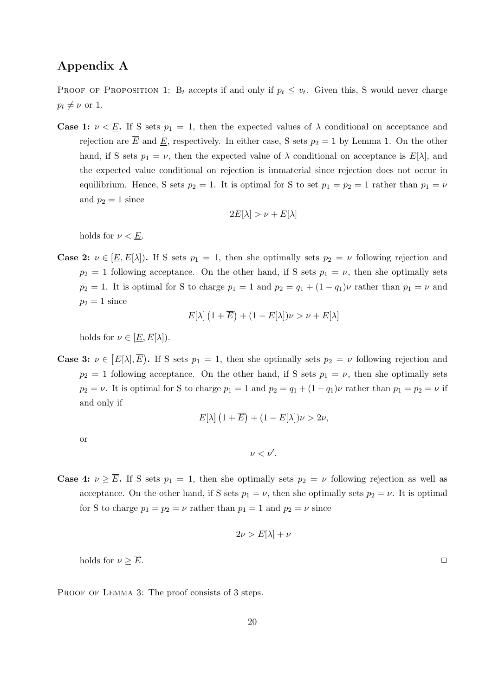## Appendix A

PROOF OF PROPOSITION 1: B<sub>t</sub> accepts if and only if  $p_t \leq v_t$ . Given this, S would never charge  $p_t \neq \nu$  or 1.

**Case 1:**  $\nu \leq \underline{E}$ . If S sets  $p_1 = 1$ , then the expected values of  $\lambda$  conditional on acceptance and rejection are  $\overline{E}$  and  $\underline{E}$ , respectively. In either case, S sets  $p_2 = 1$  by Lemma 1. On the other hand, if S sets  $p_1 = \nu$ , then the expected value of  $\lambda$  conditional on acceptance is  $E[\lambda]$ , and the expected value conditional on rejection is immaterial since rejection does not occur in equilibrium. Hence, S sets  $p_2 = 1$ . It is optimal for S to set  $p_1 = p_2 = 1$  rather than  $p_1 = \nu$ and  $p_2 = 1$  since

$$
2E[\lambda] > \nu + E[\lambda]
$$

holds for  $\nu < \underline{E}$ .

**Case 2:**  $\nu \in [E, E[\lambda])$ . If S sets  $p_1 = 1$ , then she optimally sets  $p_2 = \nu$  following rejection and  $p_2 = 1$  following acceptance. On the other hand, if S sets  $p_1 = \nu$ , then she optimally sets  $p_2 = 1$ . It is optimal for S to charge  $p_1 = 1$  and  $p_2 = q_1 + (1 - q_1)\nu$  rather than  $p_1 = \nu$  and  $p_2 = 1$  since ¡ ¢

$$
E[\lambda] (1 + \overline{E}) + (1 - E[\lambda])\nu > \nu + E[\lambda]
$$

holds for  $\nu \in [\underline{E}, E[\lambda]).$ 

Case 3:  $\nu \in$ £  $E[\lambda], \overline{E}$ ¢ . If S sets  $p_1 = 1$ , then she optimally sets  $p_2 = \nu$  following rejection and  $p_2 = 1$  following acceptance. On the other hand, if S sets  $p_1 = \nu$ , then she optimally sets  $p_2 = \nu$ . It is optimal for S to charge  $p_1 = 1$  and  $p_2 = q_1 + (1 - q_1)\nu$  rather than  $p_1 = p_2 = \nu$  if and only if

$$
E[\lambda] (1 + \overline{E}) + (1 - E[\lambda])\nu > 2\nu,
$$

or

$$
\nu<\nu'.
$$

**Case 4:**  $\nu \geq \overline{E}$ . If S sets  $p_1 = 1$ , then she optimally sets  $p_2 = \nu$  following rejection as well as acceptance. On the other hand, if S sets  $p_1 = \nu$ , then she optimally sets  $p_2 = \nu$ . It is optimal for S to charge  $p_1 = p_2 = \nu$  rather than  $p_1 = 1$  and  $p_2 = \nu$  since

$$
2\nu > E[\lambda] + \nu
$$

holds for  $\nu > \overline{E}$ .

PROOF OF LEMMA 3: The proof consists of 3 steps.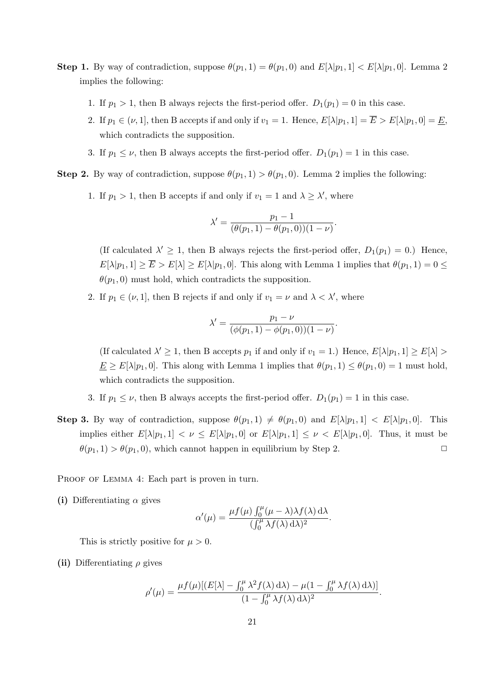- **Step 1.** By way of contradiction, suppose  $\theta(p_1, 1) = \theta(p_1, 0)$  and  $E[\lambda|p_1, 1] < E[\lambda|p_1, 0]$ . Lemma 2 implies the following:
	- 1. If  $p_1 > 1$ , then B always rejects the first-period offer.  $D_1(p_1) = 0$  in this case.
	- 2. If  $p_1 \in (\nu, 1]$ , then B accepts if and only if  $v_1 = 1$ . Hence,  $E[\lambda | p_1, 1] = \overline{E} > E[\lambda | p_1, 0] = \underline{E}$ , which contradicts the supposition.
	- 3. If  $p_1 \leq \nu$ , then B always accepts the first-period offer.  $D_1(p_1) = 1$  in this case.

**Step 2.** By way of contradiction, suppose  $\theta(p_1, 1) > \theta(p_1, 0)$ . Lemma 2 implies the following:

1. If  $p_1 > 1$ , then B accepts if and only if  $v_1 = 1$  and  $\lambda \geq \lambda'$ , where

$$
\lambda' = \frac{p_1 - 1}{(\theta(p_1, 1) - \theta(p_1, 0))(1 - \nu)}.
$$

(If calculated  $\lambda' \geq 1$ , then B always rejects the first-period offer,  $D_1(p_1) = 0$ .) Hence,  $E[\lambda|p_1,1] \geq \overline{E} > E[\lambda] \geq E[\lambda|p_1,0].$  This along with Lemma 1 implies that  $\theta(p_1,1) = 0 \leq$  $\theta(p_1, 0)$  must hold, which contradicts the supposition.

2. If  $p_1 \in (\nu, 1]$ , then B rejects if and only if  $v_1 = \nu$  and  $\lambda < \lambda'$ , where

$$
\lambda' = \frac{p_1 - \nu}{(\phi(p_1, 1) - \phi(p_1, 0))(1 - \nu)}.
$$

(If calculated  $\lambda' \geq 1$ , then B accepts  $p_1$  if and only if  $v_1 = 1$ .) Hence,  $E[\lambda | p_1, 1] \geq E[\lambda] >$  $\underline{E} \geq E[\lambda|p_1, 0]$ . This along with Lemma 1 implies that  $\theta(p_1, 1) \leq \theta(p_1, 0) = 1$  must hold, which contradicts the supposition.

- 3. If  $p_1 \leq \nu$ , then B always accepts the first-period offer.  $D_1(p_1) = 1$  in this case.
- **Step 3.** By way of contradiction, suppose  $\theta(p_1, 1) \neq \theta(p_1, 0)$  and  $E[\lambda|p_1, 1] < E[\lambda|p_1, 0]$ . This implies either  $E[\lambda|p_1, 1] < \nu \leq E[\lambda|p_1, 0]$  or  $E[\lambda|p_1, 1] \leq \nu \leq E[\lambda|p_1, 0]$ . Thus, it must be  $\theta(p_1, 1) > \theta(p_1, 0)$ , which cannot happen in equilibrium by Step 2.

PROOF OF LEMMA 4: Each part is proven in turn.

(i) Differentiating  $\alpha$  gives

$$
\alpha'(\mu) = \frac{\mu f(\mu) \int_0^{\mu} (\mu - \lambda) \lambda f(\lambda) d\lambda}{(\int_0^{\mu} \lambda f(\lambda) d\lambda)^2}.
$$

This is strictly positive for  $\mu > 0$ .

(ii) Differentiating  $\rho$  gives

$$
\rho'(\mu) = \frac{\mu f(\mu)[(E[\lambda] - \int_0^{\mu} \lambda^2 f(\lambda) d\lambda) - \mu(1 - \int_0^{\mu} \lambda f(\lambda) d\lambda)]}{(1 - \int_0^{\mu} \lambda f(\lambda) d\lambda)^2}.
$$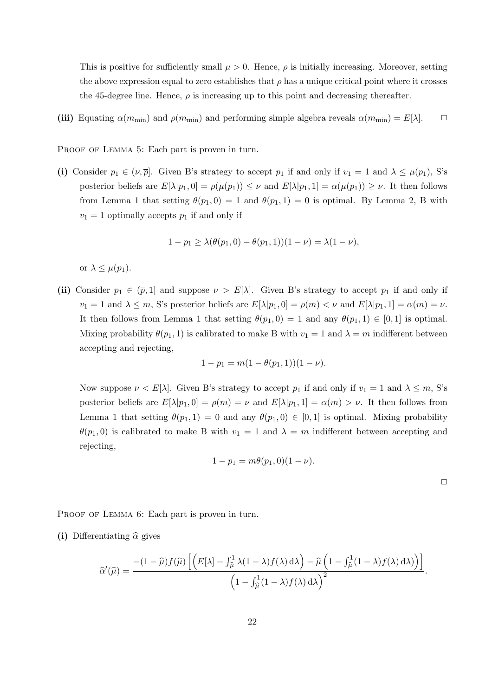This is positive for sufficiently small  $\mu > 0$ . Hence,  $\rho$  is initially increasing. Moreover, setting the above expression equal to zero establishes that  $\rho$  has a unique critical point where it crosses the 45-degree line. Hence,  $\rho$  is increasing up to this point and decreasing thereafter.

(iii) Equating  $\alpha(m_{\min})$  and  $\rho(m_{\min})$  and performing simple algebra reveals  $\alpha(m_{\min}) = E[\lambda]$ .  $\Box$ 

PROOF OF LEMMA 5: Each part is proven in turn.

(i) Consider  $p_1 \in (\nu, \overline{p}]$ . Given B's strategy to accept  $p_1$  if and only if  $v_1 = 1$  and  $\lambda \leq \mu(p_1)$ , S's posterior beliefs are  $E[\lambda|p_1, 0] = \rho(\mu(p_1)) \leq \nu$  and  $E[\lambda|p_1, 1] = \alpha(\mu(p_1)) \geq \nu$ . It then follows from Lemma 1 that setting  $\theta(p_1, 0) = 1$  and  $\theta(p_1, 1) = 0$  is optimal. By Lemma 2, B with  $v_1 = 1$  optimally accepts  $p_1$  if and only if

$$
1 - p_1 \ge \lambda(\theta(p_1, 0) - \theta(p_1, 1))(1 - \nu) = \lambda(1 - \nu),
$$

or  $\lambda \leq \mu(p_1)$ .

(ii) Consider  $p_1 \in (\bar{p}, 1]$  and suppose  $\nu > E[\lambda]$ . Given B's strategy to accept  $p_1$  if and only if  $v_1 = 1$  and  $\lambda \leq m$ , S's posterior beliefs are  $E[\lambda | p_1, 0] = \rho(m) < \nu$  and  $E[\lambda | p_1, 1] = \alpha(m) = \nu$ . It then follows from Lemma 1 that setting  $\theta(p_1, 0) = 1$  and any  $\theta(p_1, 1) \in [0, 1]$  is optimal. Mixing probability  $\theta(p_1, 1)$  is calibrated to make B with  $v_1 = 1$  and  $\lambda = m$  indifferent between accepting and rejecting,

$$
1 - p_1 = m(1 - \theta(p_1, 1))(1 - \nu).
$$

Now suppose  $\nu < E[\lambda]$ . Given B's strategy to accept  $p_1$  if and only if  $v_1 = 1$  and  $\lambda \leq m$ , S's posterior beliefs are  $E[\lambda|p_1, 0] = \rho(m) = \nu$  and  $E[\lambda|p_1, 1] = \alpha(m) > \nu$ . It then follows from Lemma 1 that setting  $\theta(p_1, 1) = 0$  and any  $\theta(p_1, 0) \in [0, 1]$  is optimal. Mixing probability  $\theta(p_1, 0)$  is calibrated to make B with  $v_1 = 1$  and  $\lambda = m$  indifferent between accepting and rejecting,

$$
1 - p_1 = m\theta(p_1, 0)(1 - \nu).
$$

 $\Box$ 

PROOF OF LEMMA 6: Each part is proven in turn.

(i) Differentiating  $\hat{\alpha}$  gives

$$
\widehat{\alpha}'(\widehat{\mu}) = \frac{-(1-\widehat{\mu})f(\widehat{\mu})\left[\left(E[\lambda]-\int_{\widehat{\mu}}^1 \lambda(1-\lambda)f(\lambda) d\lambda\right)-\widehat{\mu}\left(1-\int_{\widehat{\mu}}^1 (1-\lambda)f(\lambda) d\lambda\right)\right]}{\left(1-\int_{\widehat{\mu}}^1 (1-\lambda)f(\lambda) d\lambda\right)^2}.
$$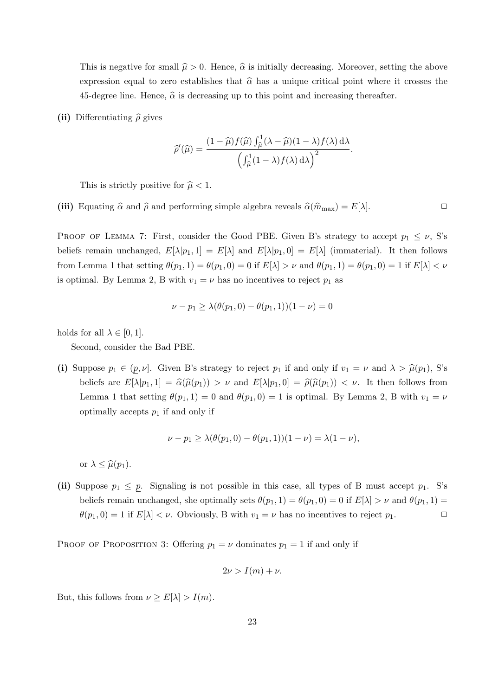This is negative for small  $\hat{\mu} > 0$ . Hence,  $\hat{\alpha}$  is initially decreasing. Moreover, setting the above expression equal to zero establishes that  $\hat{\alpha}$  has a unique critical point where it crosses the 45-degree line. Hence,  $\hat{\alpha}$  is decreasing up to this point and increasing thereafter.

(ii) Differentiating  $\hat{\rho}$  gives

$$
\widehat{\rho}'(\widehat{\mu}) = \frac{(1-\widehat{\mu})f(\widehat{\mu})\int_{\widehat{\mu}}^1(\lambda-\widehat{\mu})(1-\lambda)f(\lambda)\,\mathrm{d}\lambda}{\left(\int_{\widehat{\mu}}^1(1-\lambda)f(\lambda)\,\mathrm{d}\lambda\right)^2}.
$$

This is strictly positive for  $\hat{\mu} < 1$ .

(iii) Equating  $\hat{\alpha}$  and  $\hat{\rho}$  and performing simple algebra reveals  $\hat{\alpha}(\hat{m}_{\text{max}}) = E[\lambda].$ 

PROOF OF LEMMA 7: First, consider the Good PBE. Given B's strategy to accept  $p_1 \leq \nu$ , S's beliefs remain unchanged,  $E[\lambda|p_1, 1] = E[\lambda]$  and  $E[\lambda|p_1, 0] = E[\lambda]$  (immaterial). It then follows from Lemma 1 that setting  $\theta(p_1, 1) = \theta(p_1, 0) = 0$  if  $E[\lambda] > \nu$  and  $\theta(p_1, 1) = \theta(p_1, 0) = 1$  if  $E[\lambda] < \nu$ is optimal. By Lemma 2, B with  $v_1 = \nu$  has no incentives to reject  $p_1$  as

$$
\nu - p_1 \ge \lambda(\theta(p_1, 0) - \theta(p_1, 1))(1 - \nu) = 0
$$

holds for all  $\lambda \in [0, 1]$ .

Second, consider the Bad PBE.

(i) Suppose  $p_1 \in (p, \nu]$ . Given B's strategy to reject  $p_1$  if and only if  $v_1 = \nu$  and  $\lambda > \hat{\mu}(p_1)$ , S's beliefs are  $E[\lambda|p_1,1] = \hat{\alpha}(\hat{\mu}(p_1)) > \nu$  and  $E[\lambda|p_1,0] = \hat{\rho}(\hat{\mu}(p_1)) < \nu$ . It then follows from Lemma 1 that setting  $\theta(p_1, 1) = 0$  and  $\theta(p_1, 0) = 1$  is optimal. By Lemma 2, B with  $v_1 = \nu$ optimally accepts  $p_1$  if and only if

$$
\nu - p_1 \ge \lambda(\theta(p_1, 0) - \theta(p_1, 1))(1 - \nu) = \lambda(1 - \nu),
$$

or  $\lambda \leq \widehat{\mu}(p_1)$ .

(ii) Suppose  $p_1 \leq p$ . Signaling is not possible in this case, all types of B must accept  $p_1$ . S's beliefs remain unchanged, she optimally sets  $\theta(p_1, 1) = \theta(p_1, 0) = 0$  if  $E[\lambda] > \nu$  and  $\theta(p_1, 1) =$  $\theta(p_1, 0) = 1$  if  $E[\lambda] < \nu$ . Obviously, B with  $v_1 = \nu$  has no incentives to reject  $p_1$ .

PROOF OF PROPOSITION 3: Offering  $p_1 = \nu$  dominates  $p_1 = 1$  if and only if

$$
2\nu > I(m) + \nu.
$$

But, this follows from  $\nu \ge E[\lambda] > I(m)$ .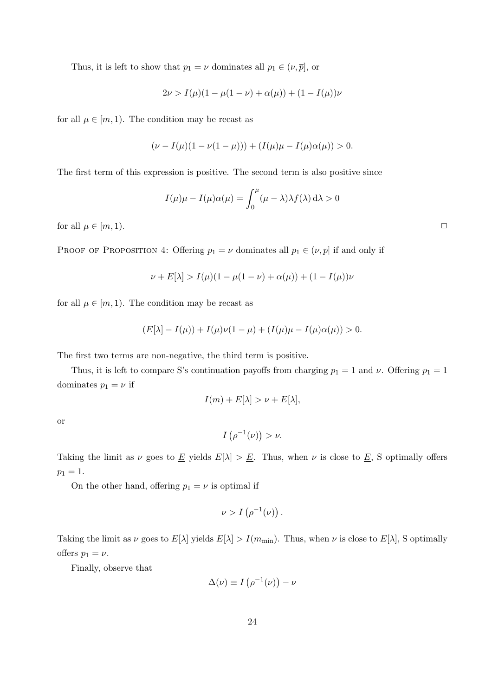Thus, it is left to show that  $p_1 = \nu$  dominates all  $p_1 \in (\nu, \overline{p}]$ , or

$$
2\nu > I(\mu)(1 - \mu(1 - \nu) + \alpha(\mu)) + (1 - I(\mu))\nu
$$

for all  $\mu \in [m, 1)$ . The condition may be recast as

$$
(\nu - I(\mu)(1 - \nu(1 - \mu))) + (I(\mu)\mu - I(\mu)\alpha(\mu)) > 0.
$$

The first term of this expression is positive. The second term is also positive since

$$
I(\mu)\mu - I(\mu)\alpha(\mu) = \int_0^{\mu} (\mu - \lambda)\lambda f(\lambda) d\lambda > 0
$$

for all  $\mu \in [m, 1)$ .

PROOF OF PROPOSITION 4: Offering  $p_1 = \nu$  dominates all  $p_1 \in (\nu, \overline{p}]$  if and only if

$$
\nu + E[\lambda] > I(\mu)(1 - \mu(1 - \nu) + \alpha(\mu)) + (1 - I(\mu))\nu
$$

for all  $\mu \in [m, 1)$ . The condition may be recast as

$$
(E[\lambda] - I(\mu)) + I(\mu)\nu(1 - \mu) + (I(\mu)\mu - I(\mu)\alpha(\mu)) > 0.
$$

The first two terms are non-negative, the third term is positive.

Thus, it is left to compare S's continuation payoffs from charging  $p_1 = 1$  and  $\nu$ . Offering  $p_1 = 1$ dominates  $p_1 = \nu$  if

$$
I(m) + E[\lambda] > \nu + E[\lambda],
$$

or

$$
I\left(\rho^{-1}(\nu)\right) > \nu.
$$

Taking the limit as  $\nu$  goes to  $\underline{E}$  yields  $E[\lambda] > \underline{E}$ . Thus, when  $\nu$  is close to  $\underline{E}$ , S optimally offers  $p_1 = 1.$ 

On the other hand, offering  $p_1 = \nu$  is optimal if

$$
\nu > I\left(\rho^{-1}(\nu)\right).
$$

Taking the limit as  $\nu$  goes to  $E[\lambda]$  yields  $E[\lambda] > I(m_{\min})$ . Thus, when  $\nu$  is close to  $E[\lambda]$ , S optimally offers  $p_1 = \nu$ .

Finally, observe that

$$
\Delta(\nu) \equiv I\left(\rho^{-1}(\nu)\right) - \nu
$$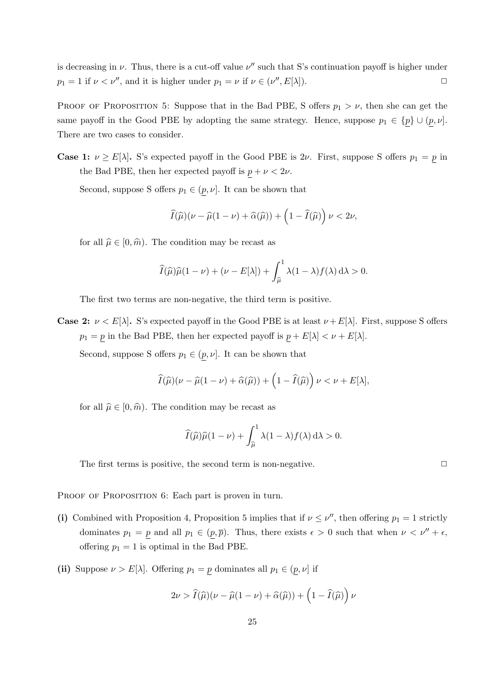is decreasing in  $\nu$ . Thus, there is a cut-off value  $\nu''$  such that S's continuation payoff is higher under  $p_1 = 1$  if  $\nu < \nu''$ , and it is higher under  $p_1 = \nu$  if  $\nu \in (\nu'', E[\lambda]).$ 

PROOF OF PROPOSITION 5: Suppose that in the Bad PBE, S offers  $p_1 > \nu$ , then she can get the same payoff in the Good PBE by adopting the same strategy. Hence, suppose  $p_1 \in \{p\} \cup (p, \nu]$ . There are two cases to consider.

**Case 1:**  $\nu \geq E[\lambda]$ . S's expected payoff in the Good PBE is  $2\nu$ . First, suppose S offers  $p_1 = p$  in the Bad PBE, then her expected payoff is  $p + \nu < 2\nu$ .

Second, suppose S offers  $p_1 \in (p, \nu]$ . It can be shown that

$$
\widehat{I}(\widehat{\mu})(\nu-\widehat{\mu}(1-\nu)+\widehat{\alpha}(\widehat{\mu}))+\left(1-\widehat{I}(\widehat{\mu})\right)\nu<2\nu,
$$

for all  $\hat{\mu} \in [0, \hat{m})$ . The condition may be recast as

$$
\widehat{I}(\widehat{\mu})\widehat{\mu}(1-\nu)+(\nu-E[\lambda])+\int_{\widehat{\mu}}^1\lambda(1-\lambda)f(\lambda)\,\mathrm{d}\lambda>0.
$$

The first two terms are non-negative, the third term is positive.

**Case 2:**  $\nu < E[\lambda]$ . S's expected payoff in the Good PBE is at least  $\nu + E[\lambda]$ . First, suppose S offers  $p_1 = p$  in the Bad PBE, then her expected payoff is  $p + E[\lambda] < \nu + E[\lambda]$ .

Second, suppose S offers  $p_1 \in (p, \nu]$ . It can be shown that

$$
\widehat{I}(\widehat{\mu})(\nu-\widehat{\mu}(1-\nu)+\widehat{\alpha}(\widehat{\mu}))+\left(1-\widehat{I}(\widehat{\mu})\right)\nu<\nu+E[\lambda],
$$

for all  $\hat{\mu} \in [0, \hat{m})$ . The condition may be recast as

$$
\widehat{I}(\widehat{\mu})\widehat{\mu}(1-\nu)+\int_{\widehat{\mu}}^1\lambda(1-\lambda)f(\lambda)\,\mathrm{d}\lambda>0.
$$

The first terms is positive, the second term is non-negative.  $\Box$ 

PROOF OF PROPOSITION 6: Each part is proven in turn.

- (i) Combined with Proposition 4, Proposition 5 implies that if  $\nu \leq \nu''$ , then offering  $p_1 = 1$  strictly dominates  $p_1 = p$  and all  $p_1 \in (p, \overline{p})$ . Thus, there exists  $\epsilon > 0$  such that when  $\nu < \nu'' + \epsilon$ , offering  $p_1 = 1$  is optimal in the Bad PBE.
- (ii) Suppose  $\nu > E[\lambda]$ . Offering  $p_1 = p$  dominates all  $p_1 \in (p, \nu]$  if

$$
2\nu > \widehat{I}(\widehat{\mu})(\nu - \widehat{\mu}(1-\nu) + \widehat{\alpha}(\widehat{\mu})) + \left(1 - \widehat{I}(\widehat{\mu})\right)\nu
$$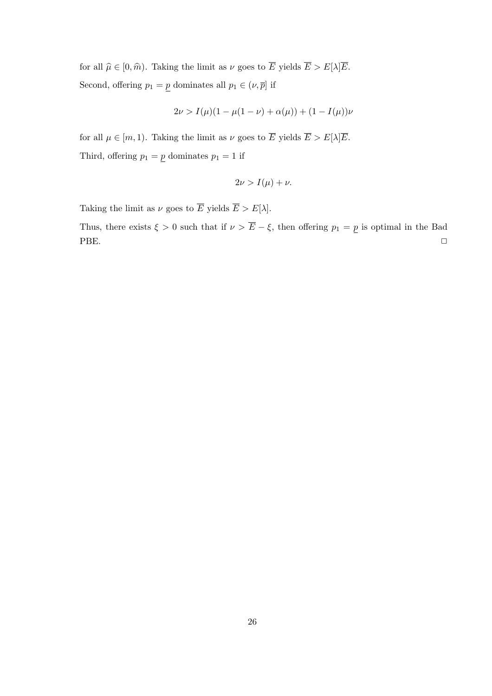for all  $\hat{\mu} \in [0, \hat{m})$ . Taking the limit as  $\nu$  goes to  $\overline{E}$  yields  $\overline{E} > E[\lambda]\overline{E}$ . Second, offering  $p_1 = \underline{p}$  dominates all  $p_1 \in (\nu, \overline{p}]$  if

$$
2\nu > I(\mu)(1 - \mu(1 - \nu) + \alpha(\mu)) + (1 - I(\mu))\nu
$$

for all  $\mu \in [m, 1)$ . Taking the limit as  $\nu$  goes to  $\overline{E}$  yields  $\overline{E} > E[\lambda]\overline{E}$ . Third, offering  $p_1 = p$  dominates  $p_1 = 1$  if

 $2\nu > I(\mu) + \nu$ .

Taking the limit as  $\nu$  goes to  $\overline{E}$  yields  $\overline{E} > E[\lambda]$ .

Thus, there exists  $\xi > 0$  such that if  $\nu > \overline{E} - \xi$ , then offering  $p_1 = \underline{p}$  is optimal in the Bad  $PBE.$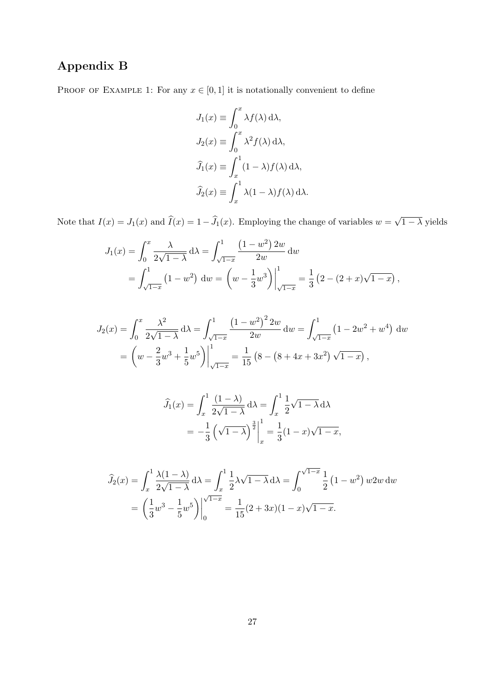# Appendix B

PROOF OF EXAMPLE 1: For any  $x \in [0,1]$  it is notationally convenient to define

$$
J_1(x) \equiv \int_0^x \lambda f(\lambda) d\lambda,
$$
  
\n
$$
J_2(x) \equiv \int_0^x \lambda^2 f(\lambda) d\lambda,
$$
  
\n
$$
\widehat{J}_1(x) \equiv \int_x^1 (1 - \lambda) f(\lambda) d\lambda,
$$
  
\n
$$
\widehat{J}_2(x) \equiv \int_x^1 \lambda (1 - \lambda) f(\lambda) d\lambda.
$$

Note that  $I(x) = J_1(x)$  and  $\widehat{I}(x) = 1 - \widehat{J}_1(x)$ . Employing the change of variables  $w = \sqrt{2\pi}$  $\overline{1-\lambda}$  yields

$$
J_1(x) = \int_0^x \frac{\lambda}{2\sqrt{1-\lambda}} d\lambda = \int_{\sqrt{1-x}}^1 \frac{(1-w^2) 2w}{2w} dw
$$
  
= 
$$
\int_{\sqrt{1-x}}^1 (1-w^2) dw = \left(w - \frac{1}{3}w^3\right)\Big|_{\sqrt{1-x}}^1 = \frac{1}{3} \left(2 - (2+x)\sqrt{1-x}\right),
$$

$$
J_2(x) = \int_0^x \frac{\lambda^2}{2\sqrt{1-\lambda}} d\lambda = \int_{\sqrt{1-x}}^1 \frac{(1-w^2)^2 2w}{2w} dw = \int_{\sqrt{1-x}}^1 (1-2w^2+w^4) dw
$$
  
=  $\left(w - \frac{2}{3}w^3 + \frac{1}{5}w^5\right)\Big|_{\sqrt{1-x}}^1 = \frac{1}{15}\left(8 - \left(8 + 4x + 3x^2\right)\sqrt{1-x}\right),$ 

$$
\widehat{J}_1(x) = \int_x^1 \frac{(1-\lambda)}{2\sqrt{1-\lambda}} d\lambda = \int_x^1 \frac{1}{2} \sqrt{1-\lambda} d\lambda
$$

$$
= -\frac{1}{3} \left( \sqrt{1-\lambda} \right)^{\frac{3}{2}} \bigg|_x^1 = \frac{1}{3} (1-x) \sqrt{1-x},
$$

$$
\hat{J}_2(x) = \int_x^1 \frac{\lambda(1-\lambda)}{2\sqrt{1-\lambda}} d\lambda = \int_x^1 \frac{1}{2} \lambda \sqrt{1-\lambda} d\lambda = \int_0^{\sqrt{1-x}} \frac{1}{2} (1-w^2) w 2w dw
$$

$$
= \left(\frac{1}{3}w^3 - \frac{1}{5}w^5\right)\Big|_0^{\sqrt{1-x}} = \frac{1}{15}(2+3x)(1-x)\sqrt{1-x}.
$$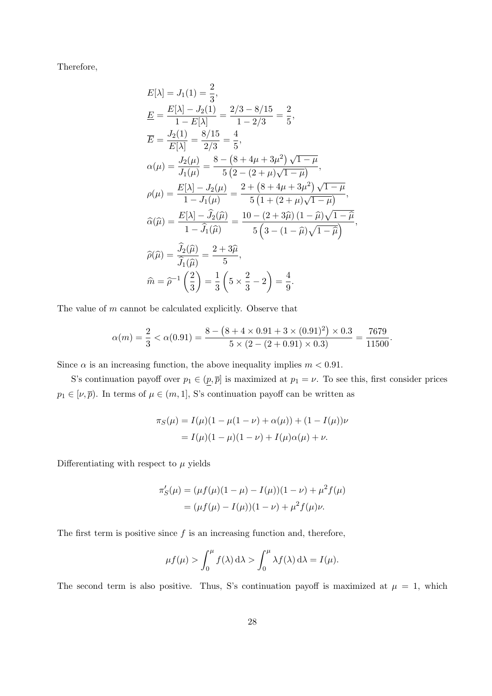Therefore,

$$
E[\lambda] = J_1(1) = \frac{2}{3},
$$
  
\n
$$
E = \frac{E[\lambda] - J_2(1)}{1 - E[\lambda]} = \frac{2/3 - 8/15}{1 - 2/3} = \frac{2}{5},
$$
  
\n
$$
\overline{E} = \frac{J_2(1)}{E[\lambda]} = \frac{8/15}{2/3} = \frac{4}{5},
$$
  
\n
$$
\alpha(\mu) = \frac{J_2(\mu)}{J_1(\mu)} = \frac{8 - (8 + 4\mu + 3\mu^2) \sqrt{1 - \mu}}{5(2 - (2 + \mu)\sqrt{1 - \mu})},
$$
  
\n
$$
\rho(\mu) = \frac{E[\lambda] - J_2(\mu)}{1 - J_1(\mu)} = \frac{2 + (8 + 4\mu + 3\mu^2) \sqrt{1 - \mu}}{5(1 + (2 + \mu)\sqrt{1 - \mu})},
$$
  
\n
$$
\hat{\alpha}(\hat{\mu}) = \frac{E[\lambda] - \hat{J}_2(\hat{\mu})}{1 - \hat{J}_1(\hat{\mu})} = \frac{10 - (2 + 3\hat{\mu})(1 - \hat{\mu})\sqrt{1 - \hat{\mu}}}{5(3 - (1 - \hat{\mu})\sqrt{1 - \hat{\mu}})},
$$
  
\n
$$
\hat{\rho}(\hat{\mu}) = \frac{\hat{J}_2(\hat{\mu})}{\hat{J}_1(\hat{\mu})} = \frac{2 + 3\hat{\mu}}{5},
$$
  
\n
$$
\hat{m} = \hat{\rho}^{-1}(\frac{2}{3}) = \frac{1}{3}(5 \times \frac{2}{3} - 2) = \frac{4}{9}.
$$

The value of m cannot be calculated explicitly. Observe that

$$
\alpha(m) = \frac{2}{3} < \alpha(0.91) = \frac{8 - (8 + 4 \times 0.91 + 3 \times (0.91)^2) \times 0.3}{5 \times (2 - (2 + 0.91) \times 0.3)} = \frac{7679}{11500}.
$$

Since  $\alpha$  is an increasing function, the above inequality implies  $m < 0.91$ .

S's continuation payoff over  $p_1 \in (p, \bar{p}]$  is maximized at  $p_1 = \nu$ . To see this, first consider prices  $p_1 \in [\nu, \overline{p})$ . In terms of  $\mu \in (m, 1]$ , S's continuation payoff can be written as

$$
\pi_S(\mu) = I(\mu)(1 - \mu(1 - \nu) + \alpha(\mu)) + (1 - I(\mu))\nu
$$
  
=  $I(\mu)(1 - \mu)(1 - \nu) + I(\mu)\alpha(\mu) + \nu$ .

Differentiating with respect to  $\mu$  yields

$$
\pi'_{S}(\mu) = (\mu f(\mu)(1 - \mu) - I(\mu))(1 - \nu) + \mu^2 f(\mu)
$$
  
= 
$$
(\mu f(\mu) - I(\mu))(1 - \nu) + \mu^2 f(\mu)\nu.
$$

The first term is positive since  $f$  is an increasing function and, therefore,

$$
\mu f(\mu) > \int_0^{\mu} f(\lambda) d\lambda > \int_0^{\mu} \lambda f(\lambda) d\lambda = I(\mu).
$$

The second term is also positive. Thus, S's continuation payoff is maximized at  $\mu = 1$ , which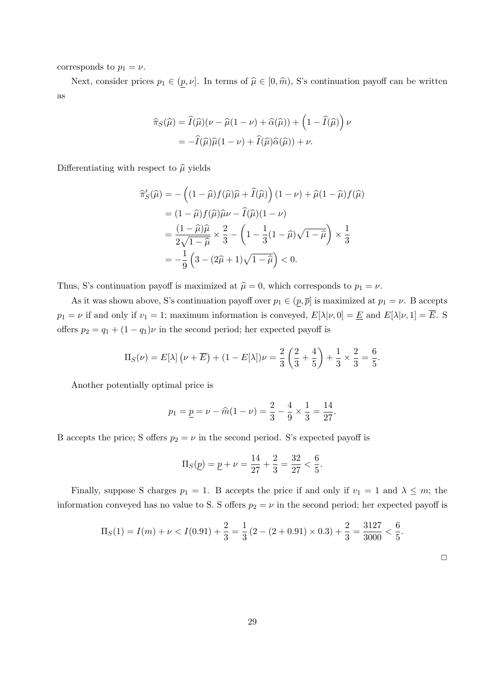corresponds to  $p_1 = \nu$ .

Next, consider prices  $p_1 \in (p, \nu]$ . In terms of  $\hat{\mu} \in [0, \hat{m}),$  S's continuation payoff can be written as

$$
\hat{\pi}_S(\hat{\mu}) = \hat{I}(\hat{\mu})(\nu - \hat{\mu}(1 - \nu) + \hat{\alpha}(\hat{\mu})) + (1 - \hat{I}(\hat{\mu})) \nu
$$

$$
= -\hat{I}(\hat{\mu})\hat{\mu}(1 - \nu) + \hat{I}(\hat{\mu})\hat{\alpha}(\hat{\mu})) + \nu.
$$

Differentiating with respect to  $\hat{\mu}$  yields

$$
\begin{split} \widehat{\pi}'_{S}(\widehat{\mu}) &= -\left( (1-\widehat{\mu})f(\widehat{\mu})\widehat{\mu} + \widehat{I}(\widehat{\mu}) \right) (1-\nu) + \widehat{\mu}(1-\widehat{\mu})f(\widehat{\mu}) \\ &= (1-\widehat{\mu})f(\widehat{\mu})\widehat{\mu}\nu - \widehat{I}(\widehat{\mu})(1-\nu) \\ &= \frac{(1-\widehat{\mu})\widehat{\mu}}{2\sqrt{1-\widehat{\mu}}} \times \frac{2}{3} - \left( 1 - \frac{1}{3}(1-\widehat{\mu})\sqrt{1-\widehat{\mu}} \right) \times \frac{1}{3} \\ &= -\frac{1}{9} \left( 3 - (2\widehat{\mu} + 1)\sqrt{1-\widehat{\mu}} \right) < 0. \end{split}
$$

Thus, S's continuation payoff is maximized at  $\hat{\mu} = 0$ , which corresponds to  $p_1 = \nu$ .

As it was shown above, S's continuation payoff over  $p_1 \in (p, \overline{p}]$  is maximized at  $p_1 = \nu$ . B accepts  $p_1 = \nu$  if and only if  $v_1 = 1$ ; maximum information is conveyed,  $E[\lambda|\nu, 0] = \underline{E}$  and  $E[\lambda|\nu, 1] = \overline{E}$ . S offers  $p_2 = q_1 + (1 - q_1)\nu$  in the second period; her expected payoff is

$$
\Pi_S(\nu) = E[\lambda] \left( \nu + \overline{E} \right) + (1 - E[\lambda]) \nu = \frac{2}{3} \left( \frac{2}{3} + \frac{4}{5} \right) + \frac{1}{3} \times \frac{2}{3} = \frac{6}{5}.
$$

Another potentially optimal price is

$$
p_1 = \underline{p} = \nu - \widehat{m}(1 - \nu) = \frac{2}{3} - \frac{4}{9} \times \frac{1}{3} = \frac{14}{27}.
$$

B accepts the price; S offers  $p_2 = \nu$  in the second period. S's expected payoff is

$$
\Pi_S(\underline{p}) = \underline{p} + \nu = \frac{14}{27} + \frac{2}{3} = \frac{32}{27} < \frac{6}{5}.
$$

Finally, suppose S charges  $p_1 = 1$ . B accepts the price if and only if  $v_1 = 1$  and  $\lambda \leq m$ ; the information conveyed has no value to S. S offers  $p_2 = \nu$  in the second period; her expected payoff is

$$
\Pi_S(1) = I(m) + \nu < I(0.91) + \frac{2}{3} = \frac{1}{3} \left( 2 - (2 + 0.91) \times 0.3 \right) + \frac{2}{3} = \frac{3127}{3000} < \frac{6}{5}.
$$

 $\Box$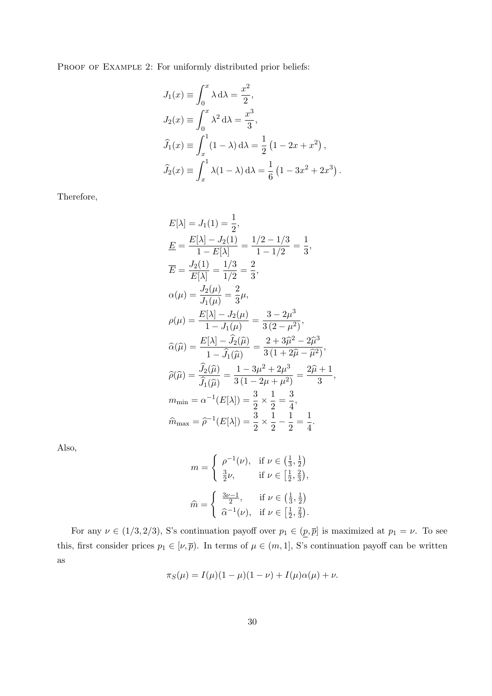PROOF OF EXAMPLE 2: For uniformly distributed prior beliefs:

$$
J_1(x) \equiv \int_0^x \lambda \, d\lambda = \frac{x^2}{2},
$$
  
\n
$$
J_2(x) \equiv \int_0^x \lambda^2 \, d\lambda = \frac{x^3}{3},
$$
  
\n
$$
\widehat{J}_1(x) \equiv \int_x^1 (1 - \lambda) \, d\lambda = \frac{1}{2} (1 - 2x + x^2),
$$
  
\n
$$
\widehat{J}_2(x) \equiv \int_x^1 \lambda (1 - \lambda) \, d\lambda = \frac{1}{6} (1 - 3x^2 + 2x^3).
$$

Therefore,

$$
E[\lambda] = J_1(1) = \frac{1}{2},
$$
  
\n
$$
E = \frac{E[\lambda] - J_2(1)}{1 - E[\lambda]} = \frac{1/2 - 1/3}{1 - 1/2} = \frac{1}{3},
$$
  
\n
$$
\overline{E} = \frac{J_2(1)}{E[\lambda]} = \frac{1/3}{1/2} = \frac{2}{3},
$$
  
\n
$$
\alpha(\mu) = \frac{J_2(\mu)}{J_1(\mu)} = \frac{2}{3}\mu,
$$
  
\n
$$
\rho(\mu) = \frac{E[\lambda] - J_2(\mu)}{1 - J_1(\mu)} = \frac{3 - 2\mu^3}{3(2 - \mu^2)},
$$
  
\n
$$
\widehat{\alpha}(\widehat{\mu}) = \frac{E[\lambda] - \widehat{J}_2(\widehat{\mu})}{1 - \widehat{J}_1(\widehat{\mu})} = \frac{2 + 3\widehat{\mu}^2 - 2\widehat{\mu}^3}{3(1 + 2\widehat{\mu} - \widehat{\mu}^2)},
$$
  
\n
$$
\widehat{\rho}(\widehat{\mu}) = \frac{\widehat{J}_2(\widehat{\mu})}{\widehat{J}_1(\widehat{\mu})} = \frac{1 - 3\mu^2 + 2\mu^3}{3(1 - 2\mu + \mu^2)} = \frac{2\widehat{\mu} + 1}{3},
$$
  
\n
$$
m_{\min} = \alpha^{-1}(E[\lambda]) = \frac{3}{2} \times \frac{1}{2} = \frac{3}{4},
$$
  
\n
$$
\widehat{m}_{\max} = \widehat{\rho}^{-1}(E[\lambda]) = \frac{3}{2} \times \frac{1}{2} - \frac{1}{2} = \frac{1}{4}.
$$

Also,

$$
m = \begin{cases} \n\rho^{-1}(\nu), & \text{if } \nu \in \left(\frac{1}{3}, \frac{1}{2}\right) \\ \n\frac{3}{2}\nu, & \text{if } \nu \in \left[\frac{1}{2}, \frac{2}{3}\right), \\ \n\widehat{m} = \begin{cases} \n\frac{3\nu - 1}{2}, & \text{if } \nu \in \left(\frac{1}{3}, \frac{1}{2}\right) \\ \n\widehat{\alpha}^{-1}(\nu), & \text{if } \nu \in \left[\frac{1}{2}, \frac{2}{3}\right). \n\end{cases}
$$

For any  $\nu \in (1/3, 2/3)$ , S's continuation payoff over  $p_1 \in (p, \bar{p}]$  is maximized at  $p_1 = \nu$ . To see this, first consider prices  $p_1 \in [\nu, \overline{p})$ . In terms of  $\mu \in (m, 1]$ , S's continuation payoff can be written as

$$
\pi_S(\mu) = I(\mu)(1 - \mu)(1 - \nu) + I(\mu)\alpha(\mu) + \nu.
$$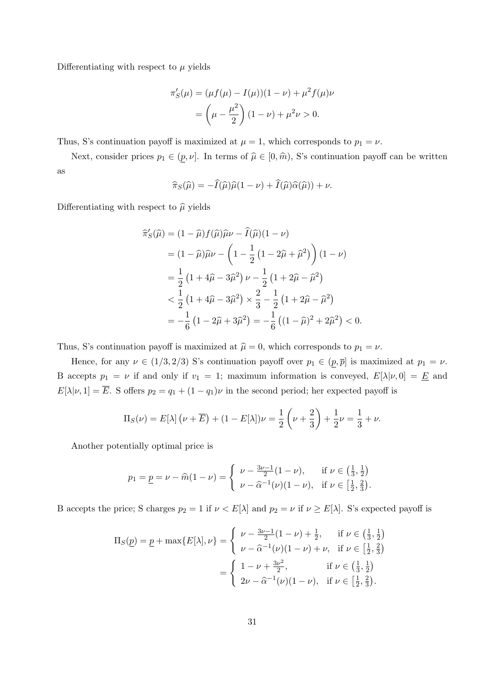Differentiating with respect to  $\mu$  yields

$$
\pi'_{S}(\mu) = (\mu f(\mu) - I(\mu))(1 - \nu) + \mu^2 f(\mu)\nu
$$

$$
= \left(\mu - \frac{\mu^2}{2}\right)(1 - \nu) + \mu^2 \nu > 0.
$$

Thus, S's continuation payoff is maximized at  $\mu = 1$ , which corresponds to  $p_1 = \nu$ .

Next, consider prices  $p_1 \in (p, \nu]$ . In terms of  $\hat{\mu} \in [0, \hat{m}),$  S's continuation payoff can be written as

$$
\widehat{\pi}_S(\widehat{\mu}) = -\widehat{I}(\widehat{\mu})\widehat{\mu}(1-\nu) + \widehat{I}(\widehat{\mu})\widehat{\alpha}(\widehat{\mu})) + \nu.
$$

Differentiating with respect to  $\hat{\mu}$  yields

$$
\begin{split}\n\widehat{\pi}'_{S}(\widehat{\mu}) &= (1 - \widehat{\mu}) f(\widehat{\mu}) \widehat{\mu} \nu - \widehat{I}(\widehat{\mu}) (1 - \nu) \\
&= (1 - \widehat{\mu}) \widehat{\mu} \nu - \left( 1 - \frac{1}{2} \left( 1 - 2\widehat{\mu} + \widehat{\mu}^{2} \right) \right) (1 - \nu) \\
&= \frac{1}{2} \left( 1 + 4\widehat{\mu} - 3\widehat{\mu}^{2} \right) \nu - \frac{1}{2} \left( 1 + 2\widehat{\mu} - \widehat{\mu}^{2} \right) \\
&< \frac{1}{2} \left( 1 + 4\widehat{\mu} - 3\widehat{\mu}^{2} \right) \times \frac{2}{3} - \frac{1}{2} \left( 1 + 2\widehat{\mu} - \widehat{\mu}^{2} \right) \\
&= -\frac{1}{6} \left( 1 - 2\widehat{\mu} + 3\widehat{\mu}^{2} \right) = -\frac{1}{6} \left( (1 - \widehat{\mu})^{2} + 2\widehat{\mu}^{2} \right) < 0.\n\end{split}
$$

Thus, S's continuation payoff is maximized at  $\hat{\mu} = 0$ , which corresponds to  $p_1 = \nu$ .

Hence, for any  $\nu \in (1/3, 2/3)$  S's continuation payoff over  $p_1 \in (p, \overline{p}]$  is maximized at  $p_1 = \nu$ . B accepts  $p_1 = \nu$  if and only if  $v_1 = 1$ ; maximum information is conveyed,  $E[\lambda | \nu, 0] = \underline{E}$  and  $E[\lambda|\nu,1] = \overline{E}$ . S offers  $p_2 = q_1 + (1 - q_1)\nu$  in the second period; her expected payoff is

$$
\Pi_S(\nu) = E[\lambda] \left( \nu + \overline{E} \right) + (1 - E[\lambda]) \nu = \frac{1}{2} \left( \nu + \frac{2}{3} \right) + \frac{1}{2} \nu = \frac{1}{3} + \nu.
$$

Another potentially optimal price is

$$
p_1 = \underline{p} = \nu - \widehat{m}(1 - \nu) = \begin{cases} \nu - \frac{3\nu - 1}{2}(1 - \nu), & \text{if } \nu \in \left(\frac{1}{3}, \frac{1}{2}\right) \\ \nu - \widehat{\alpha}^{-1}(\nu)(1 - \nu), & \text{if } \nu \in \left[\frac{1}{2}, \frac{2}{3}\right). \end{cases}
$$

B accepts the price; S charges  $p_2 = 1$  if  $\nu < E[\lambda]$  and  $p_2 = \nu$  if  $\nu \ge E[\lambda]$ . S's expected payoff is

$$
\Pi_S(\underline{p}) = \underline{p} + \max\{E[\lambda], \nu\} = \begin{cases} \nu - \frac{3\nu - 1}{2}(1 - \nu) + \frac{1}{2}, & \text{if } \nu \in (\frac{1}{3}, \frac{1}{2}) \\ \nu - \widehat{\alpha}^{-1}(\nu)(1 - \nu) + \nu, & \text{if } \nu \in [\frac{1}{2}, \frac{2}{3}) \end{cases}
$$

$$
= \begin{cases} 1 - \nu + \frac{3\nu^2}{2}, & \text{if } \nu \in (\frac{1}{3}, \frac{1}{2}) \\ 2\nu - \widehat{\alpha}^{-1}(\nu)(1 - \nu), & \text{if } \nu \in [\frac{1}{2}, \frac{2}{3}). \end{cases}
$$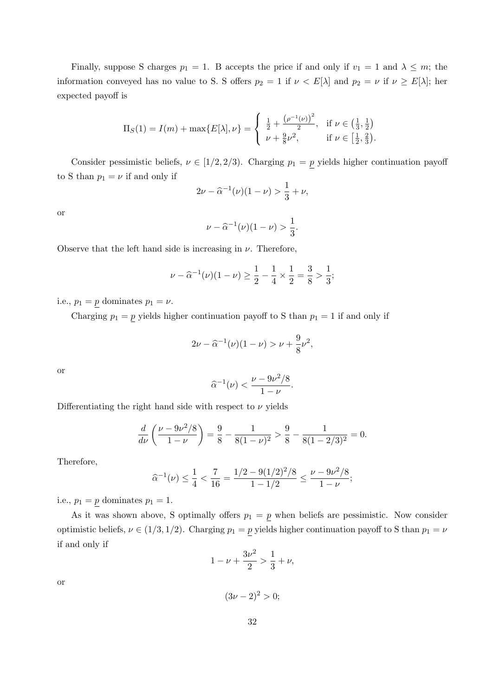Finally, suppose S charges  $p_1 = 1$ . B accepts the price if and only if  $v_1 = 1$  and  $\lambda \leq m$ ; the information conveyed has no value to S. S offers  $p_2 = 1$  if  $\nu \langle E[\lambda] \rangle$  and  $p_2 = \nu$  if  $\nu \geq E[\lambda]$ ; her expected payoff is

$$
\Pi_S(1) = I(m) + \max\{E[\lambda], \nu\} = \begin{cases} \frac{1}{2} + \frac{(\rho^{-1}(\nu))^2}{2}, & \text{if } \nu \in \left(\frac{1}{3}, \frac{1}{2}\right) \\ \nu + \frac{9}{8}\nu^2, & \text{if } \nu \in \left[\frac{1}{2}, \frac{2}{3}\right). \end{cases}
$$

Consider pessimistic beliefs,  $\nu \in [1/2, 2/3)$ . Charging  $p_1 = p$  yields higher continuation payoff to S than  $p_1 = \nu$  if and only if

$$
2\nu - \widehat{\alpha}^{-1}(\nu)(1-\nu) > \frac{1}{3} + \nu,
$$

or

$$
\nu - \widehat{\alpha}^{-1}(\nu)(1-\nu) > \frac{1}{3}.
$$

Observe that the left hand side is increasing in  $\nu$ . Therefore,

$$
\nu - \widehat{\alpha}^{-1}(\nu)(1 - \nu) \ge \frac{1}{2} - \frac{1}{4} \times \frac{1}{2} = \frac{3}{8} > \frac{1}{3};
$$

i.e.,  $p_1 = p$  dominates  $p_1 = \nu$ .

Charging  $p_1 = p$  yields higher continuation payoff to S than  $p_1 = 1$  if and only if

$$
2\nu - \widehat{\alpha}^{-1}(\nu)(1-\nu) > \nu + \frac{9}{8}\nu^2,
$$

or

$$
\widehat{\alpha}^{-1}(\nu) < \frac{\nu - 9\nu^2/8}{1 - \nu}.
$$

Differentiating the right hand side with respect to  $\nu$  yields

$$
\frac{d}{d\nu}\left(\frac{\nu - 9\nu^2/8}{1 - \nu}\right) = \frac{9}{8} - \frac{1}{8(1 - \nu)^2} > \frac{9}{8} - \frac{1}{8(1 - 2/3)^2} = 0.
$$

Therefore,

$$
\widehat{\alpha}^{-1}(\nu) \le \frac{1}{4} < \frac{7}{16} = \frac{1/2 - 9(1/2)^2/8}{1 - 1/2} \le \frac{\nu - 9\nu^2/8}{1 - \nu};
$$

i.e.,  $p_1 = p$  dominates  $p_1 = 1$ .

As it was shown above, S optimally offers  $p_1 = p$  when beliefs are pessimistic. Now consider optimistic beliefs,  $\nu \in (1/3, 1/2)$ . Charging  $p_1 = p$  yields higher continuation payoff to S than  $p_1 = \nu$ if and only if

$$
1 - \nu + \frac{3\nu^2}{2} > \frac{1}{3} + \nu,
$$

or

 $(3\nu - 2)^2 > 0;$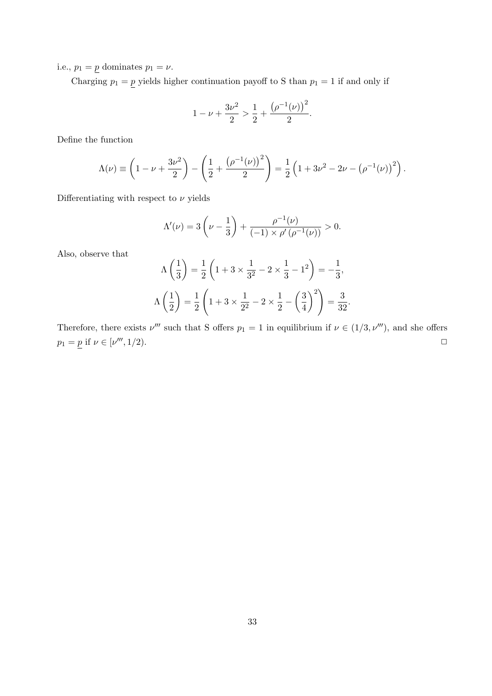i.e.,  $p_1 = p$  dominates  $p_1 = \nu$ .

Charging  $p_1 = p$  yields higher continuation payoff to S than  $p_1 = 1$  if and only if

$$
1 - \nu + \frac{3\nu^2}{2} > \frac{1}{2} + \frac{(\rho^{-1}(\nu))^2}{2}.
$$

Define the function

$$
\Lambda(\nu) \equiv \left(1 - \nu + \frac{3\nu^2}{2}\right) - \left(\frac{1}{2} + \frac{(\rho^{-1}(\nu))^2}{2}\right) = \frac{1}{2}\left(1 + 3\nu^2 - 2\nu - (\rho^{-1}(\nu))^2\right).
$$

Differentiating with respect to  $\nu$  yields

$$
\Lambda'(\nu) = 3\left(\nu - \frac{1}{3}\right) + \frac{\rho^{-1}(\nu)}{(-1) \times \rho'(\rho^{-1}(\nu))} > 0.
$$

Also, observe that

$$
\Lambda\left(\frac{1}{3}\right) = \frac{1}{2}\left(1 + 3 \times \frac{1}{3^2} - 2 \times \frac{1}{3} - 1^2\right) = -\frac{1}{3},
$$
  

$$
\Lambda\left(\frac{1}{2}\right) = \frac{1}{2}\left(1 + 3 \times \frac{1}{2^2} - 2 \times \frac{1}{2} - \left(\frac{3}{4}\right)^2\right) = \frac{3}{32}.
$$

Therefore, there exists  $\nu^{\prime\prime\prime}$  such that S offers  $p_1 = 1$  in equilibrium if  $\nu \in (1/3, \nu^{\prime\prime\prime})$ , and she offers  $p_1 = p$  if  $\nu \in [\nu''']$  $, 1/2$ ).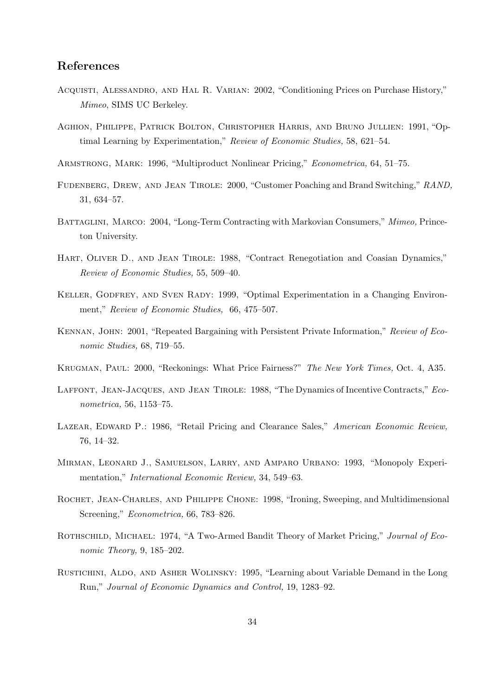## References

- Acquisti, Alessandro, and Hal R. Varian: 2002, "Conditioning Prices on Purchase History," Mimeo, SIMS UC Berkeley.
- Aghion, Philippe, Patrick Bolton, Christopher Harris, and Bruno Jullien: 1991, "Optimal Learning by Experimentation," Review of Economic Studies, 58, 621–54.
- Armstrong, Mark: 1996, "Multiproduct Nonlinear Pricing," Econometrica, 64, 51–75.
- Fudenberg, Drew, and Jean Tirole: 2000, "Customer Poaching and Brand Switching," RAND, 31, 634–57.
- BATTAGLINI, MARCO: 2004, "Long-Term Contracting with Markovian Consumers," Mimeo, Princeton University.
- HART, OLIVER D., AND JEAN TIROLE: 1988, "Contract Renegotiation and Coasian Dynamics," Review of Economic Studies, 55, 509–40.
- KELLER, GODFREY, AND SVEN RADY: 1999, "Optimal Experimentation in a Changing Environment," Review of Economic Studies, 66, 475-507.
- KENNAN, JOHN: 2001, "Repeated Bargaining with Persistent Private Information," Review of Economic Studies, 68, 719–55.
- Krugman, Paul: 2000, "Reckonings: What Price Fairness?" The New York Times, Oct. 4, A35.
- LAFFONT, JEAN-JACQUES, AND JEAN TIROLE: 1988, "The Dynamics of Incentive Contracts," Econometrica, 56, 1153–75.
- LAZEAR, EDWARD P.: 1986, "Retail Pricing and Clearance Sales," American Economic Review, 76, 14–32.
- Mirman, Leonard J., Samuelson, Larry, and Amparo Urbano: 1993, "Monopoly Experimentation," International Economic Review, 34, 549–63.
- ROCHET, JEAN-CHARLES, AND PHILIPPE CHONE: 1998, "Ironing, Sweeping, and Multidimensional Screening," Econometrica, 66, 783–826.
- ROTHSCHILD, MICHAEL: 1974, "A Two-Armed Bandit Theory of Market Pricing," Journal of Economic Theory, 9, 185–202.
- Rustichini, Aldo, and Asher Wolinsky: 1995, "Learning about Variable Demand in the Long Run," Journal of Economic Dynamics and Control, 19, 1283–92.